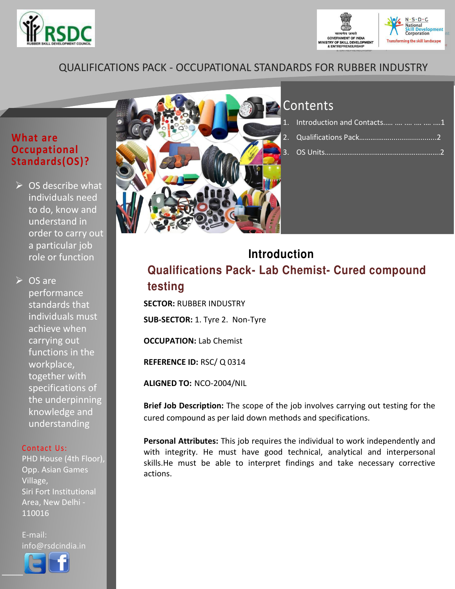



## **QUALIFICATIONS PACK - OCCUPATIONAL STANDARDS FOR RUBBER INDUSTRY**

## **What are Occupational** Standards(OS)?

 $\triangleright$  OS describe what individuals need to do, know and understand in order to carry out a particular job role or function

 $\triangleright$  OS are performance standards that individuals must achieve when carrying out functions in the workplace, together with specifications of the underpinning knowledge and understanding

### Contact Us:

PHD House (4th Floor), Opp. Asian Games Village. Siri Fort Institutional Area, New Delhi -110016

E-mail: info@rsdcindia.in





# Contents

| Introduction and Contacts      1 |  |
|----------------------------------|--|
|                                  |  |
|                                  |  |

# **Introduction Qualifications Pack- Lab Chemist- Cured compound** testing

**SECTOR: RUBBER INDUSTRY** 

SUB-SECTOR: 1. Tyre 2. Non-Tyre

**OCCUPATION: Lab Chemist** 

REFERENCE ID: RSC/Q0314

ALIGNED TO: NCO-2004/NIL

Brief Job Description: The scope of the job involves carrying out testing for the cured compound as per laid down methods and specifications.

Personal Attributes: This job requires the individual to work independently and with integrity. He must have good technical, analytical and interpersonal skills. He must be able to interpret findings and take necessary corrective actions.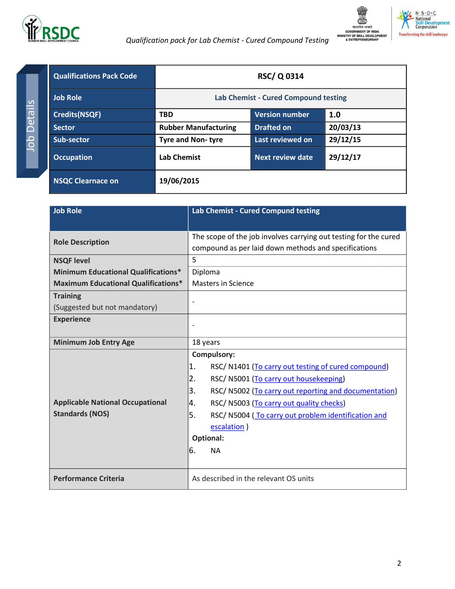



**Qualifications Pack Code RSC/Q0314 Job Role** Lab Chemist - Cured Compound testing Credits(NSQF) **TBD Version number**  $1.0$  $20/03/13$ **Sector Rubber Manufacturing Drafted on** Sub-sector **Tyre and Non-tyre** Last reviewed on 29/12/15 **Next review date Occupation Lab Chemist** 29/12/17 **NSQC Clearnace on** 19/06/2015

| <b>Job Role</b>                            | Lab Chemist - Cured Compund testing                                                                                      |  |
|--------------------------------------------|--------------------------------------------------------------------------------------------------------------------------|--|
| <b>Role Description</b>                    | The scope of the job involves carrying out testing for the cured<br>compound as per laid down methods and specifications |  |
| <b>NSQF level</b>                          | 5                                                                                                                        |  |
| <b>Minimum Educational Qualifications*</b> | Diploma                                                                                                                  |  |
| <b>Maximum Educational Qualifications*</b> | <b>Masters in Science</b>                                                                                                |  |
| <b>Training</b>                            |                                                                                                                          |  |
| (Suggested but not mandatory)              |                                                                                                                          |  |
| <b>Experience</b>                          |                                                                                                                          |  |
| <b>Minimum Job Entry Age</b>               | 18 years                                                                                                                 |  |
|                                            | <b>Compulsory:</b>                                                                                                       |  |
|                                            | 1.<br>RSC/ N1401 (To carry out testing of cured compound)                                                                |  |
|                                            | 2.<br>RSC/N5001 (To carry out housekeeping)                                                                              |  |
|                                            | 3.<br>RSC/ N5002 (To carry out reporting and documentation)                                                              |  |
| <b>Applicable National Occupational</b>    | 4.<br>RSC/ N5003 (To carry out quality checks)                                                                           |  |
| <b>Standards (NOS)</b>                     | 5.<br>RSC/ N5004 (To carry out problem identification and                                                                |  |
|                                            | escalation)                                                                                                              |  |
|                                            | <b>Optional:</b>                                                                                                         |  |
|                                            | 6.<br><b>NA</b>                                                                                                          |  |
|                                            |                                                                                                                          |  |
| <b>Performance Criteria</b>                | As described in the relevant OS units                                                                                    |  |

**Job Details**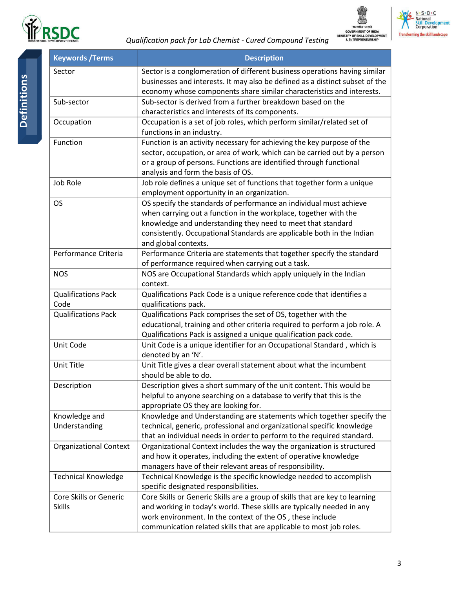



N ⋅ S ⋅ D ⋅ C<br>► National<br>Skill Development<br>Corporation **Transforming the skill landscape** 

| <b>Keywords / Terms</b>       | <b>Description</b>                                                                           |
|-------------------------------|----------------------------------------------------------------------------------------------|
| Sector                        | Sector is a conglomeration of different business operations having similar                   |
|                               | businesses and interests. It may also be defined as a distinct subset of the                 |
|                               | economy whose components share similar characteristics and interests.                        |
| Sub-sector                    | Sub-sector is derived from a further breakdown based on the                                  |
|                               | characteristics and interests of its components.                                             |
| Occupation                    | Occupation is a set of job roles, which perform similar/related set of                       |
|                               | functions in an industry.                                                                    |
| Function                      | Function is an activity necessary for achieving the key purpose of the                       |
|                               | sector, occupation, or area of work, which can be carried out by a person                    |
|                               | or a group of persons. Functions are identified through functional                           |
|                               | analysis and form the basis of OS.                                                           |
| Job Role                      | Job role defines a unique set of functions that together form a unique                       |
|                               | employment opportunity in an organization.                                                   |
| <b>OS</b>                     | OS specify the standards of performance an individual must achieve                           |
|                               | when carrying out a function in the workplace, together with the                             |
|                               | knowledge and understanding they need to meet that standard                                  |
|                               | consistently. Occupational Standards are applicable both in the Indian                       |
|                               | and global contexts.                                                                         |
| Performance Criteria          | Performance Criteria are statements that together specify the standard                       |
|                               | of performance required when carrying out a task.                                            |
| <b>NOS</b>                    | NOS are Occupational Standards which apply uniquely in the Indian                            |
|                               | context.                                                                                     |
| <b>Qualifications Pack</b>    | Qualifications Pack Code is a unique reference code that identifies a                        |
| Code                          | qualifications pack.                                                                         |
| <b>Qualifications Pack</b>    | Qualifications Pack comprises the set of OS, together with the                               |
|                               | educational, training and other criteria required to perform a job role. A                   |
|                               | Qualifications Pack is assigned a unique qualification pack code.                            |
| Unit Code                     | Unit Code is a unique identifier for an Occupational Standard, which is                      |
| <b>Unit Title</b>             | denoted by an 'N'.                                                                           |
|                               | Unit Title gives a clear overall statement about what the incumbent<br>should be able to do. |
|                               | Description gives a short summary of the unit content. This would be                         |
| Description                   | helpful to anyone searching on a database to verify that this is the                         |
|                               | appropriate OS they are looking for.                                                         |
| Knowledge and                 | Knowledge and Understanding are statements which together specify the                        |
| Understanding                 | technical, generic, professional and organizational specific knowledge                       |
|                               | that an individual needs in order to perform to the required standard.                       |
| <b>Organizational Context</b> | Organizational Context includes the way the organization is structured                       |
|                               | and how it operates, including the extent of operative knowledge                             |
|                               | managers have of their relevant areas of responsibility.                                     |
| <b>Technical Knowledge</b>    | Technical Knowledge is the specific knowledge needed to accomplish                           |
|                               | specific designated responsibilities.                                                        |
| Core Skills or Generic        | Core Skills or Generic Skills are a group of skills that are key to learning                 |
| <b>Skills</b>                 | and working in today's world. These skills are typically needed in any                       |
|                               | work environment. In the context of the OS, these include                                    |
|                               | communication related skills that are applicable to most job roles.                          |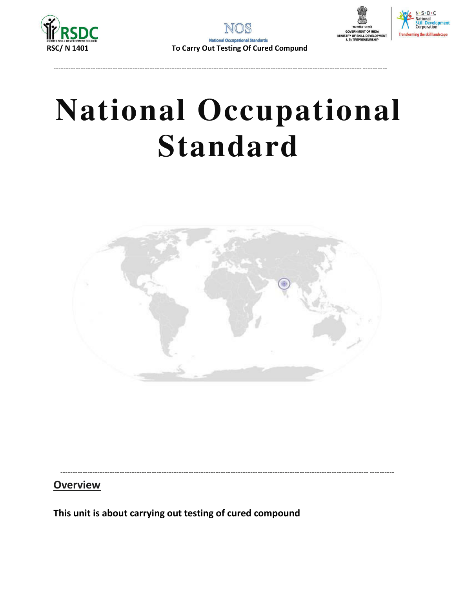





ng the skill landscane

# **National Occupational Standard**



**Overview** 

This unit is about carrying out testing of cured compound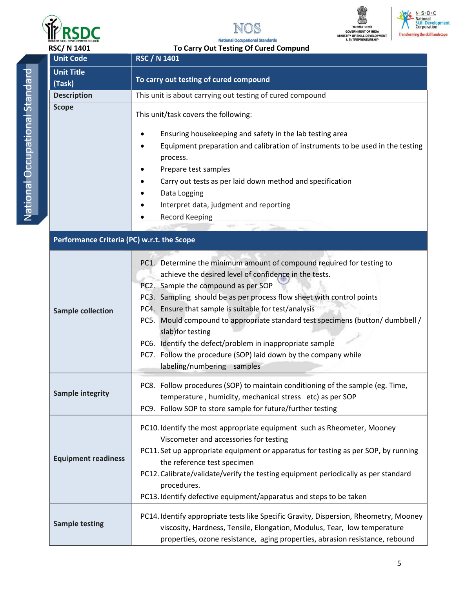



**National Occupational Standards** 



N. S. D. C.<br>National<br>Skill Development<br>Corporation **Transforming the skill landscape** 

## To Carry Out Testing Of Cured Compund

| Ì | ٠ |
|---|---|
| ì |   |
|   |   |
|   |   |
|   |   |
|   |   |
|   |   |
|   |   |
|   |   |
|   |   |
|   |   |
|   |   |
|   |   |
|   |   |
|   |   |
|   |   |
|   |   |
|   |   |
|   |   |
|   |   |
|   |   |
|   |   |
|   |   |
| ļ |   |
|   |   |
| ĺ |   |
| í |   |
|   |   |
| I |   |
|   |   |
| j |   |
|   |   |
|   |   |
|   |   |
| Í |   |
|   |   |
|   |   |
|   |   |
| ſ |   |
|   |   |
|   |   |
|   |   |
|   |   |
| Ï |   |
|   |   |
|   |   |
|   |   |
|   |   |
|   |   |
|   |   |
|   |   |
|   |   |
|   |   |
|   |   |
|   |   |
|   |   |
|   |   |

| <b>Unit Code</b>                           | <b>RSC / N 1401</b>                                                                                                                                                                                                                                                                                                                                                                                                                                                                                                                                                      |  |  |
|--------------------------------------------|--------------------------------------------------------------------------------------------------------------------------------------------------------------------------------------------------------------------------------------------------------------------------------------------------------------------------------------------------------------------------------------------------------------------------------------------------------------------------------------------------------------------------------------------------------------------------|--|--|
| <b>Unit Title</b>                          | To carry out testing of cured compound                                                                                                                                                                                                                                                                                                                                                                                                                                                                                                                                   |  |  |
| (Task)                                     |                                                                                                                                                                                                                                                                                                                                                                                                                                                                                                                                                                          |  |  |
| <b>Description</b>                         | This unit is about carrying out testing of cured compound                                                                                                                                                                                                                                                                                                                                                                                                                                                                                                                |  |  |
| <b>Scope</b>                               | This unit/task covers the following:<br>Ensuring housekeeping and safety in the lab testing area<br>Equipment preparation and calibration of instruments to be used in the testing<br>process.<br>Prepare test samples<br>Carry out tests as per laid down method and specification<br>Data Logging<br>Interpret data, judgment and reporting<br><b>Record Keeping</b>                                                                                                                                                                                                   |  |  |
| Performance Criteria (PC) w.r.t. the Scope |                                                                                                                                                                                                                                                                                                                                                                                                                                                                                                                                                                          |  |  |
| <b>Sample collection</b>                   | PC1. Determine the minimum amount of compound required for testing to<br>achieve the desired level of confidence in the tests.<br>PC2. Sample the compound as per SOP<br>PC3. Sampling should be as per process flow sheet with control points<br>PC4. Ensure that sample is suitable for test/analysis<br>PC5. Mould compound to appropriate standard test specimens (button/dumbbell/<br>slab) for testing<br>PC6. Identify the defect/problem in inappropriate sample<br>PC7. Follow the procedure (SOP) laid down by the company while<br>labeling/numbering samples |  |  |
| <b>Sample integrity</b>                    | PC8. Follow procedures (SOP) to maintain conditioning of the sample (eg. Time,<br>temperature, humidity, mechanical stress etc) as per SOP<br>PC9. Follow SOP to store sample for future/further testing                                                                                                                                                                                                                                                                                                                                                                 |  |  |
| <b>Equipment readiness</b>                 | PC10. Identify the most appropriate equipment such as Rheometer, Mooney<br>Viscometer and accessories for testing<br>PC11. Set up appropriate equipment or apparatus for testing as per SOP, by running<br>the reference test specimen<br>PC12. Calibrate/validate/verify the testing equipment periodically as per standard<br>procedures.<br>PC13. Identify defective equipment/apparatus and steps to be taken                                                                                                                                                        |  |  |
| <b>Sample testing</b>                      | PC14. Identify appropriate tests like Specific Gravity, Dispersion, Rheometry, Mooney<br>viscosity, Hardness, Tensile, Elongation, Modulus, Tear, low temperature<br>properties, ozone resistance, aging properties, abrasion resistance, rebound                                                                                                                                                                                                                                                                                                                        |  |  |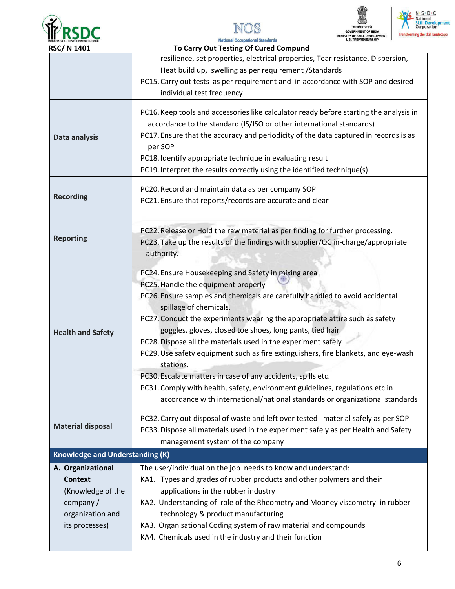







**National Occupational Standards** 

| <b>RSC/N1401</b>                                                                                           | To Carry Out Testing Of Cured Compund                                                                                                                                                                                                                                                                                                                                                                                                                                                                                                                                                                                                                                                                                                               |
|------------------------------------------------------------------------------------------------------------|-----------------------------------------------------------------------------------------------------------------------------------------------------------------------------------------------------------------------------------------------------------------------------------------------------------------------------------------------------------------------------------------------------------------------------------------------------------------------------------------------------------------------------------------------------------------------------------------------------------------------------------------------------------------------------------------------------------------------------------------------------|
|                                                                                                            | resilience, set properties, electrical properties, Tear resistance, Dispersion,                                                                                                                                                                                                                                                                                                                                                                                                                                                                                                                                                                                                                                                                     |
|                                                                                                            | Heat build up, swelling as per requirement / Standards                                                                                                                                                                                                                                                                                                                                                                                                                                                                                                                                                                                                                                                                                              |
|                                                                                                            | PC15. Carry out tests as per requirement and in accordance with SOP and desired                                                                                                                                                                                                                                                                                                                                                                                                                                                                                                                                                                                                                                                                     |
|                                                                                                            | individual test frequency                                                                                                                                                                                                                                                                                                                                                                                                                                                                                                                                                                                                                                                                                                                           |
| Data analysis                                                                                              | PC16. Keep tools and accessories like calculator ready before starting the analysis in<br>accordance to the standard (IS/ISO or other international standards)<br>PC17. Ensure that the accuracy and periodicity of the data captured in records is as<br>per SOP<br>PC18. Identify appropriate technique in evaluating result<br>PC19. Interpret the results correctly using the identified technique(s)                                                                                                                                                                                                                                                                                                                                           |
|                                                                                                            | PC20. Record and maintain data as per company SOP                                                                                                                                                                                                                                                                                                                                                                                                                                                                                                                                                                                                                                                                                                   |
| <b>Recording</b>                                                                                           | PC21. Ensure that reports/records are accurate and clear                                                                                                                                                                                                                                                                                                                                                                                                                                                                                                                                                                                                                                                                                            |
|                                                                                                            |                                                                                                                                                                                                                                                                                                                                                                                                                                                                                                                                                                                                                                                                                                                                                     |
| <b>Reporting</b>                                                                                           | PC22. Release or Hold the raw material as per finding for further processing.<br>PC23. Take up the results of the findings with supplier/QC in-charge/appropriate<br>authority.                                                                                                                                                                                                                                                                                                                                                                                                                                                                                                                                                                     |
| <b>Health and Safety</b>                                                                                   | PC24. Ensure Housekeeping and Safety in mixing area<br>PC25. Handle the equipment properly<br>PC26. Ensure samples and chemicals are carefully handled to avoid accidental<br>spillage of chemicals.<br>PC27. Conduct the experiments wearing the appropriate attire such as safety<br>goggles, gloves, closed toe shoes, long pants, tied hair<br>PC28. Dispose all the materials used in the experiment safely<br>PC29. Use safety equipment such as fire extinguishers, fire blankets, and eye-wash<br>stations.<br>PC30. Escalate matters in case of any accidents, spills etc.<br>PC31. Comply with health, safety, environment guidelines, regulations etc in<br>accordance with international/national standards or organizational standards |
| <b>Material disposal</b>                                                                                   | PC32. Carry out disposal of waste and left over tested material safely as per SOP<br>PC33. Dispose all materials used in the experiment safely as per Health and Safety<br>management system of the company                                                                                                                                                                                                                                                                                                                                                                                                                                                                                                                                         |
| <b>Knowledge and Understanding (K)</b>                                                                     |                                                                                                                                                                                                                                                                                                                                                                                                                                                                                                                                                                                                                                                                                                                                                     |
| A. Organizational<br><b>Context</b><br>(Knowledge of the<br>company/<br>organization and<br>its processes) | The user/individual on the job needs to know and understand:<br>KA1. Types and grades of rubber products and other polymers and their<br>applications in the rubber industry<br>KA2. Understanding of role of the Rheometry and Mooney viscometry in rubber<br>technology & product manufacturing<br>KA3. Organisational Coding system of raw material and compounds<br>KA4. Chemicals used in the industry and their function                                                                                                                                                                                                                                                                                                                      |
|                                                                                                            |                                                                                                                                                                                                                                                                                                                                                                                                                                                                                                                                                                                                                                                                                                                                                     |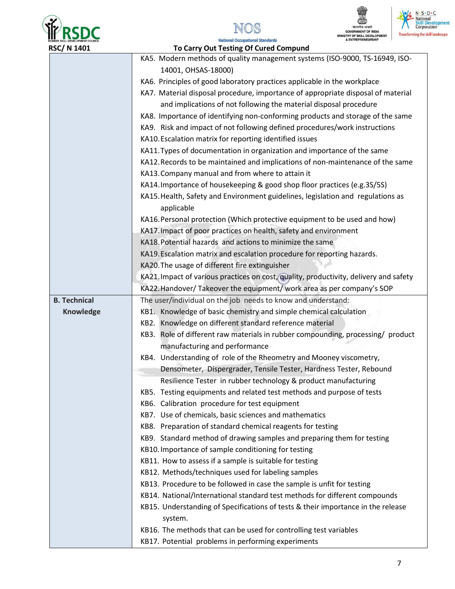





 $S \cdot D \cdot C$ 

elopment

To Carry Out Testing Of Cured Compund RSC/ N 1401 KA5. Modern methods of quality management systems (ISO-9000, TS-16949, ISO-14001, OHSAS-18000) KA6. Principles of good laboratory practices applicable in the workplace KA7. Material disposal procedure, importance of appropriate disposal of material and implications of not following the material disposal procedure KA8. Importance of identifying non-conforming products and storage of the same KA9. Risk and impact of not following defined procedures/work instructions KA10. Escalation matrix for reporting identified issues KA11. Types of documentation in organization and importance of the same KA12. Records to be maintained and implications of non-maintenance of the same KA13. Company manual and from where to attain it KA14. Importance of housekeeping & good shop floor practices (e.g.3S/5S) KA15. Health, Safety and Environment guidelines, legislation and regulations as applicable KA16. Personal protection (Which protective equipment to be used and how) KA17. Impact of poor practices on health, safety and environment KA18. Potential hazards and actions to minimize the same KA19. Escalation matrix and escalation procedure for reporting hazards. KA20. The usage of different fire extinguisher KA21. Impact of various practices on cost, quality, productivity, delivery and safety KA22. Handover/ Takeover the equipment/ work area as per company's SOP **B. Technical** The user/individual on the job needs to know and understand: KB1. Knowledge of basic chemistry and simple chemical calculation **Knowledge** KB2. Knowledge on different standard reference material KB3. Role of different raw materials in rubber compounding, processing/ product manufacturing and performance KB4. Understanding of role of the Rheometry and Mooney viscometry, Densometer, Dispergrader, Tensile Tester, Hardness Tester, Rebound Resilience Tester in rubber technology & product manufacturing KB5. Testing equipments and related test methods and purpose of tests KB6. Calibration procedure for test equipment KB7. Use of chemicals, basic sciences and mathematics KB8. Preparation of standard chemical reagents for testing KB9. Standard method of drawing samples and preparing them for testing KB10. Importance of sample conditioning for testing KB11. How to assess if a sample is suitable for testing KB12. Methods/techniques used for labeling samples KB13. Procedure to be followed in case the sample is unfit for testing KB14. National/International standard test methods for different compounds KB15. Understanding of Specifications of tests & their importance in the release system. KB16. The methods that can be used for controlling test variables KB17. Potential problems in performing experiments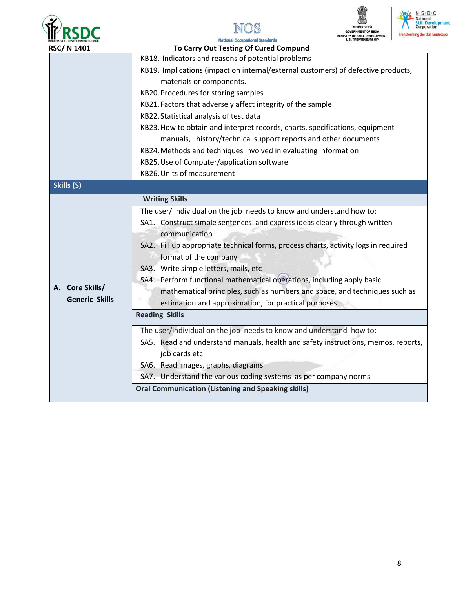







**National Occupational Standards** 

| <b>RSC/N1401</b>                         | To Carry Out Testing Of Cured Compund                                                                                                                                                                                                                                                                                                                                                                                                                                                                                                                                                         |
|------------------------------------------|-----------------------------------------------------------------------------------------------------------------------------------------------------------------------------------------------------------------------------------------------------------------------------------------------------------------------------------------------------------------------------------------------------------------------------------------------------------------------------------------------------------------------------------------------------------------------------------------------|
|                                          | KB18. Indicators and reasons of potential problems                                                                                                                                                                                                                                                                                                                                                                                                                                                                                                                                            |
|                                          | KB19. Implications (impact on internal/external customers) of defective products,                                                                                                                                                                                                                                                                                                                                                                                                                                                                                                             |
|                                          | materials or components.                                                                                                                                                                                                                                                                                                                                                                                                                                                                                                                                                                      |
|                                          | KB20. Procedures for storing samples                                                                                                                                                                                                                                                                                                                                                                                                                                                                                                                                                          |
|                                          | KB21. Factors that adversely affect integrity of the sample                                                                                                                                                                                                                                                                                                                                                                                                                                                                                                                                   |
|                                          | KB22. Statistical analysis of test data                                                                                                                                                                                                                                                                                                                                                                                                                                                                                                                                                       |
|                                          | KB23. How to obtain and interpret records, charts, specifications, equipment                                                                                                                                                                                                                                                                                                                                                                                                                                                                                                                  |
|                                          | manuals, history/technical support reports and other documents                                                                                                                                                                                                                                                                                                                                                                                                                                                                                                                                |
|                                          | KB24. Methods and techniques involved in evaluating information                                                                                                                                                                                                                                                                                                                                                                                                                                                                                                                               |
|                                          | KB25. Use of Computer/application software                                                                                                                                                                                                                                                                                                                                                                                                                                                                                                                                                    |
|                                          | KB26. Units of measurement                                                                                                                                                                                                                                                                                                                                                                                                                                                                                                                                                                    |
| Skills (S)                               |                                                                                                                                                                                                                                                                                                                                                                                                                                                                                                                                                                                               |
| A. Core Skills/<br><b>Generic Skills</b> | <b>Writing Skills</b><br>The user/ individual on the job needs to know and understand how to:<br>SA1. Construct simple sentences and express ideas clearly through written<br>communication<br>SA2. Fill up appropriate technical forms, process charts, activity logs in required<br>format of the company<br>SA3. Write simple letters, mails, etc<br>SA4. Perform functional mathematical operations, including apply basic<br>mathematical principles, such as numbers and space, and techniques such as<br>estimation and approximation, for practical purposes<br><b>Reading Skills</b> |
|                                          | The user/individual on the job needs to know and understand how to:<br>SA5. Read and understand manuals, health and safety instructions, memos, reports,<br>job cards etc<br>SA6. Read images, graphs, diagrams<br>SA7. Understand the various coding systems as per company norms<br><b>Oral Communication (Listening and Speaking skills)</b>                                                                                                                                                                                                                                               |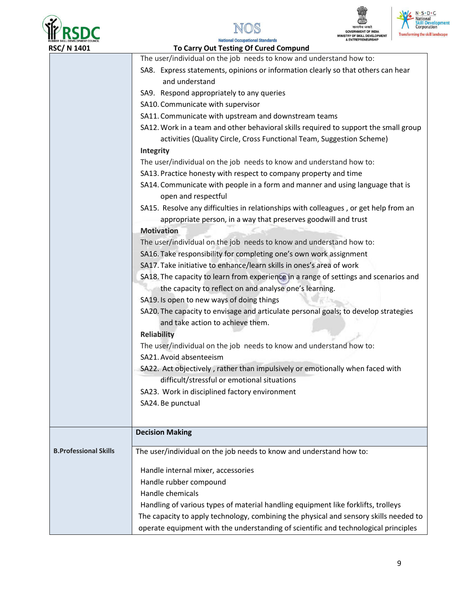





 $-S \cdot D \cdot C$ 

| IVUD                                                                                 | <b>GOVERNMENT OF INDIA</b><br><b>Transforming the skill landscape</b><br>MINISTRY OF SKILL DEVELOPMENT |
|--------------------------------------------------------------------------------------|--------------------------------------------------------------------------------------------------------|
| <b>National Occupational Standards</b>                                               | <b>NTREPRENEURSHIP</b>                                                                                 |
| <b>To Carry Out Testing Of Cured Compund</b>                                         |                                                                                                        |
| The user/individual on the job needs to know and understand how to:                  |                                                                                                        |
| SA8. Express statements, opinions or information clearly so that others can hear     |                                                                                                        |
| and understand                                                                       |                                                                                                        |
| SA9. Respond appropriately to any queries                                            |                                                                                                        |
| SA10. Communicate with supervisor                                                    |                                                                                                        |
| SA11. Communicate with upstream and downstream teams                                 |                                                                                                        |
| SA12. Work in a team and other behavioral skills required to support the small group |                                                                                                        |
| activities (Quality Circle, Cross Functional Team, Suggestion Scheme)                |                                                                                                        |
| Integrity                                                                            |                                                                                                        |
| The user/individual on the job needs to know and understand how to:                  |                                                                                                        |
| SA13. Practice honesty with respect to company property and time                     |                                                                                                        |
| SA14. Communicate with people in a form and manner and using language that is        |                                                                                                        |
| open and respectful                                                                  |                                                                                                        |
| SA15. Resolve any difficulties in relationships with colleagues, or get help from an |                                                                                                        |
| appropriate person, in a way that preserves goodwill and trust                       |                                                                                                        |
| <b>Motivation</b>                                                                    |                                                                                                        |
| The user/individual on the job needs to know and understand how to:                  |                                                                                                        |
| SA16. Take responsibility for completing one's own work assignment                   |                                                                                                        |
| SA17. Take initiative to enhance/learn skills in ones's area of work                 |                                                                                                        |
| SA18. The capacity to learn from experience in a range of settings and scenarios and |                                                                                                        |
| the capacity to reflect on and analyse one's learning.                               |                                                                                                        |
| SA19. Is open to new ways of doing things                                            |                                                                                                        |
| SA20. The capacity to envisage and articulate personal goals; to develop strategies  |                                                                                                        |
| and take action to achieve them.                                                     |                                                                                                        |

### **Reliability**

The user/individual on the job needs to know and understand how to:

- SA21. Avoid absenteeism
	- SA22. Act objectively, rather than impulsively or emotionally when faced with difficult/stressful or emotional situations
	- SA23. Work in disciplined factory environment
- SA24. Be punctual

|                              | <b>Decision Making</b>                                                                |
|------------------------------|---------------------------------------------------------------------------------------|
| <b>B.Professional Skills</b> | The user/individual on the job needs to know and understand how to:                   |
|                              | Handle internal mixer, accessories                                                    |
|                              | Handle rubber compound                                                                |
|                              | Handle chemicals                                                                      |
|                              | Handling of various types of material handling equipment like forklifts, trolleys     |
|                              | The capacity to apply technology, combining the physical and sensory skills needed to |
|                              | operate equipment with the understanding of scientific and technological principles   |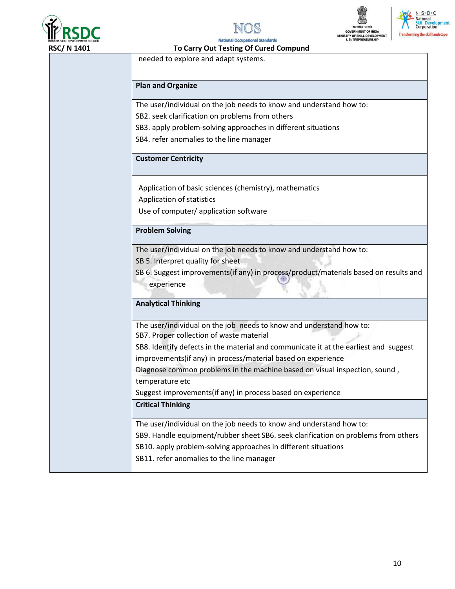







### To Carry Out Testing Of Cured Compund

needed to explore and adapt systems.

#### **Plan and Organize**

The user/individual on the job needs to know and understand how to:

SB2. seek clarification on problems from others

SB3. apply problem-solving approaches in different situations

SB4. refer anomalies to the line manager

### **Customer Centricity**

Application of basic sciences (chemistry), mathematics Application of statistics

Use of computer/ application software

#### **Problem Solving**

The user/individual on the job needs to know and understand how to:

SB 5. Interpret quality for sheet

SB 6. Suggest improvements(if any) in process/product/materials based on results and experience

#### **Analytical Thinking**

The user/individual on the job needs to know and understand how to:

SB7. Proper collection of waste material

SB8. Identify defects in the material and communicate it at the earliest and suggest improvements(if any) in process/material based on experience

Diagnose common problems in the machine based on visual inspection, sound,

temperature etc

Suggest improvements(if any) in process based on experience

**Critical Thinking** 

The user/individual on the job needs to know and understand how to:

SB9. Handle equipment/rubber sheet SB6. seek clarification on problems from others

SB10. apply problem-solving approaches in different situations

SB11. refer anomalies to the line manager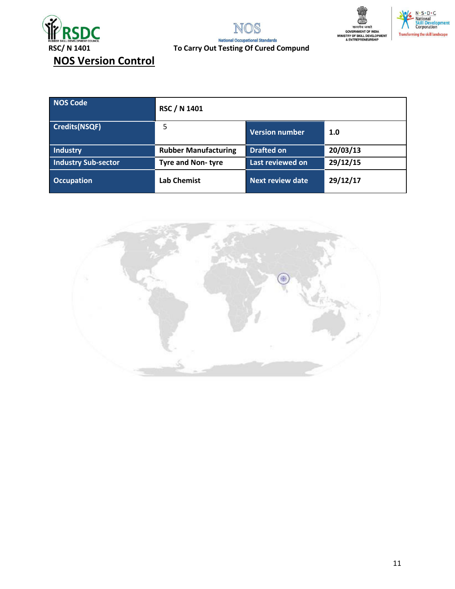





N - S - D - C<br>- National<br>Skill Development<br>Corporation **Transforming the skill landscape** 

# **NOS Version Control**

| <b>NOS Code</b>            | RSC / N 1401                |                         |          |
|----------------------------|-----------------------------|-------------------------|----------|
| <b>Credits(NSQF)</b>       | 5                           | Version number          | 1.0      |
| <b>Industry</b>            | <b>Rubber Manufacturing</b> | <b>Drafted on</b>       | 20/03/13 |
| <b>Industry Sub-sector</b> | <b>Tyre and Non-tyre</b>    | Last reviewed on        | 29/12/15 |
| <b>Occupation</b>          | <b>Lab Chemist</b>          | <b>Next review date</b> | 29/12/17 |

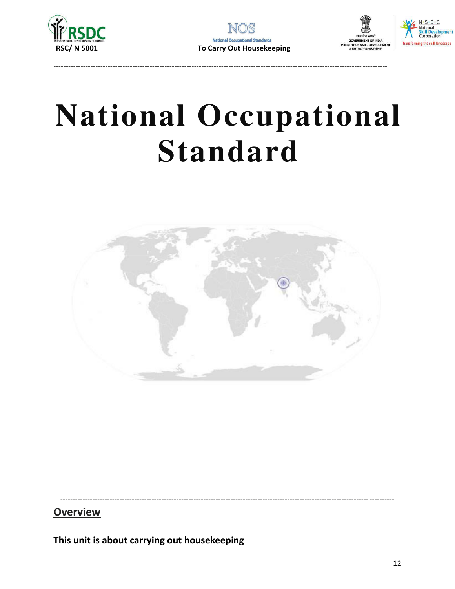







# **National Occupational Standard**



**Overview** 

This unit is about carrying out housekeeping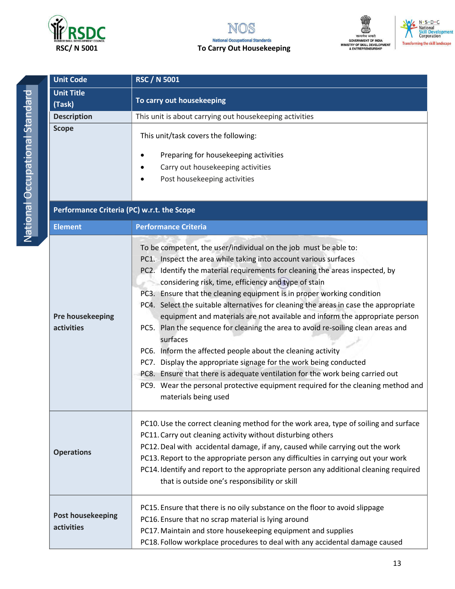







| <b>Unit Code</b>                           | <b>RSC / N 5001</b>                                                                                                                                                                                                                                                                                                                                                                                                                                                                                                                                                                                                                                                                                                                                                                                                                                                                                                                                            |
|--------------------------------------------|----------------------------------------------------------------------------------------------------------------------------------------------------------------------------------------------------------------------------------------------------------------------------------------------------------------------------------------------------------------------------------------------------------------------------------------------------------------------------------------------------------------------------------------------------------------------------------------------------------------------------------------------------------------------------------------------------------------------------------------------------------------------------------------------------------------------------------------------------------------------------------------------------------------------------------------------------------------|
| <b>Unit Title</b>                          | To carry out housekeeping                                                                                                                                                                                                                                                                                                                                                                                                                                                                                                                                                                                                                                                                                                                                                                                                                                                                                                                                      |
| (Task)                                     |                                                                                                                                                                                                                                                                                                                                                                                                                                                                                                                                                                                                                                                                                                                                                                                                                                                                                                                                                                |
| <b>Description</b>                         | This unit is about carrying out housekeeping activities                                                                                                                                                                                                                                                                                                                                                                                                                                                                                                                                                                                                                                                                                                                                                                                                                                                                                                        |
| <b>Scope</b>                               | This unit/task covers the following:<br>Preparing for housekeeping activities<br>$\bullet$<br>Carry out housekeeping activities<br>Post housekeeping activities                                                                                                                                                                                                                                                                                                                                                                                                                                                                                                                                                                                                                                                                                                                                                                                                |
| Performance Criteria (PC) w.r.t. the Scope |                                                                                                                                                                                                                                                                                                                                                                                                                                                                                                                                                                                                                                                                                                                                                                                                                                                                                                                                                                |
| <b>Element</b>                             | <b>Performance Criteria</b>                                                                                                                                                                                                                                                                                                                                                                                                                                                                                                                                                                                                                                                                                                                                                                                                                                                                                                                                    |
| Pre housekeeping<br>activities             | To be competent, the user/individual on the job must be able to:<br>PC1. Inspect the area while taking into account various surfaces<br>PC2. Identify the material requirements for cleaning the areas inspected, by<br>considering risk, time, efficiency and type of stain<br>PC3. Ensure that the cleaning equipment is in proper working condition<br>PC4. Select the suitable alternatives for cleaning the areas in case the appropriate<br>equipment and materials are not available and inform the appropriate person<br>PC5. Plan the sequence for cleaning the area to avoid re-soiling clean areas and<br>surfaces<br>PC6. Inform the affected people about the cleaning activity<br>PC7. Display the appropriate signage for the work being conducted<br>PC8. Ensure that there is adequate ventilation for the work being carried out<br>PC9. Wear the personal protective equipment required for the cleaning method and<br>materials being used |
| <b>Operations</b>                          | PC10. Use the correct cleaning method for the work area, type of soiling and surface<br>PC11. Carry out cleaning activity without disturbing others<br>PC12. Deal with accidental damage, if any, caused while carrying out the work<br>PC13. Report to the appropriate person any difficulties in carrying out your work<br>PC14. Identify and report to the appropriate person any additional cleaning required<br>that is outside one's responsibility or skill                                                                                                                                                                                                                                                                                                                                                                                                                                                                                             |
| <b>Post housekeeping</b><br>activities     | PC15. Ensure that there is no oily substance on the floor to avoid slippage<br>PC16. Ensure that no scrap material is lying around<br>PC17. Maintain and store housekeeping equipment and supplies<br>PC18. Follow workplace procedures to deal with any accidental damage caused                                                                                                                                                                                                                                                                                                                                                                                                                                                                                                                                                                                                                                                                              |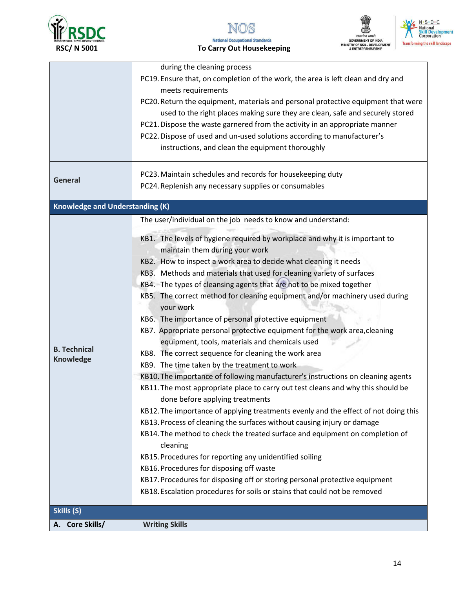





|                                         | during the cleaning process<br>PC19. Ensure that, on completion of the work, the area is left clean and dry and<br>meets requirements<br>PC20. Return the equipment, materials and personal protective equipment that were<br>used to the right places making sure they are clean, safe and securely stored<br>PC21. Dispose the waste garnered from the activity in an appropriate manner<br>PC22. Dispose of used and un-used solutions according to manufacturer's<br>instructions, and clean the equipment thoroughly                                                                                                                                                                                                                                                                                                                                                                                                                                                                                                                                                                                                                                                                                                                                                                                                                                                                                                                                                                                                                  |
|-----------------------------------------|--------------------------------------------------------------------------------------------------------------------------------------------------------------------------------------------------------------------------------------------------------------------------------------------------------------------------------------------------------------------------------------------------------------------------------------------------------------------------------------------------------------------------------------------------------------------------------------------------------------------------------------------------------------------------------------------------------------------------------------------------------------------------------------------------------------------------------------------------------------------------------------------------------------------------------------------------------------------------------------------------------------------------------------------------------------------------------------------------------------------------------------------------------------------------------------------------------------------------------------------------------------------------------------------------------------------------------------------------------------------------------------------------------------------------------------------------------------------------------------------------------------------------------------------|
| <b>General</b>                          | PC23. Maintain schedules and records for housekeeping duty<br>PC24. Replenish any necessary supplies or consumables                                                                                                                                                                                                                                                                                                                                                                                                                                                                                                                                                                                                                                                                                                                                                                                                                                                                                                                                                                                                                                                                                                                                                                                                                                                                                                                                                                                                                        |
| <b>Knowledge and Understanding (K)</b>  |                                                                                                                                                                                                                                                                                                                                                                                                                                                                                                                                                                                                                                                                                                                                                                                                                                                                                                                                                                                                                                                                                                                                                                                                                                                                                                                                                                                                                                                                                                                                            |
| <b>B. Technical</b><br><b>Knowledge</b> | The user/individual on the job needs to know and understand:<br>KB1. The levels of hygiene required by workplace and why it is important to<br>maintain them during your work<br>KB2. How to inspect a work area to decide what cleaning it needs<br>KB3. Methods and materials that used for cleaning variety of surfaces<br>KB4. The types of cleansing agents that are not to be mixed together<br>KB5. The correct method for cleaning equipment and/or machinery used during<br>your work<br>KB6. The importance of personal protective equipment<br>KB7. Appropriate personal protective equipment for the work area, cleaning<br>equipment, tools, materials and chemicals used<br>KB8. The correct sequence for cleaning the work area<br>KB9. The time taken by the treatment to work<br>KB10. The importance of following manufacturer's instructions on cleaning agents<br>KB11. The most appropriate place to carry out test cleans and why this should be<br>done before applying treatments<br>KB12. The importance of applying treatments evenly and the effect of not doing this<br>KB13. Process of cleaning the surfaces without causing injury or damage<br>KB14. The method to check the treated surface and equipment on completion of<br>cleaning<br>KB15. Procedures for reporting any unidentified soiling<br>KB16. Procedures for disposing off waste<br>KB17. Procedures for disposing off or storing personal protective equipment<br>KB18. Escalation procedures for soils or stains that could not be removed |
|                                         |                                                                                                                                                                                                                                                                                                                                                                                                                                                                                                                                                                                                                                                                                                                                                                                                                                                                                                                                                                                                                                                                                                                                                                                                                                                                                                                                                                                                                                                                                                                                            |
| Skills (S)                              |                                                                                                                                                                                                                                                                                                                                                                                                                                                                                                                                                                                                                                                                                                                                                                                                                                                                                                                                                                                                                                                                                                                                                                                                                                                                                                                                                                                                                                                                                                                                            |
| A. Core Skills/                         | <b>Writing Skills</b>                                                                                                                                                                                                                                                                                                                                                                                                                                                                                                                                                                                                                                                                                                                                                                                                                                                                                                                                                                                                                                                                                                                                                                                                                                                                                                                                                                                                                                                                                                                      |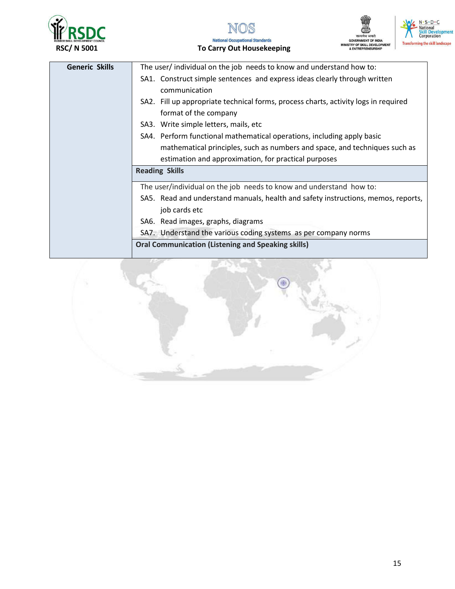







| <b>Generic Skills</b> | The user/individual on the job needs to know and understand how to:                 |
|-----------------------|-------------------------------------------------------------------------------------|
|                       | SA1. Construct simple sentences and express ideas clearly through written           |
|                       | communication                                                                       |
|                       | SA2. Fill up appropriate technical forms, process charts, activity logs in required |
|                       | format of the company                                                               |
|                       | SA3. Write simple letters, mails, etc.                                              |
|                       | SA4. Perform functional mathematical operations, including apply basic              |
|                       | mathematical principles, such as numbers and space, and techniques such as          |
|                       | estimation and approximation, for practical purposes                                |
|                       | <b>Reading Skills</b>                                                               |
|                       | The user/individual on the job needs to know and understand how to:                 |
|                       | SA5. Read and understand manuals, health and safety instructions, memos, reports,   |
|                       | job cards etc                                                                       |
|                       | SA6. Read images, graphs, diagrams                                                  |
|                       | SA7. Understand the various coding systems as per company norms                     |
|                       | <b>Oral Communication (Listening and Speaking skills)</b>                           |
|                       |                                                                                     |

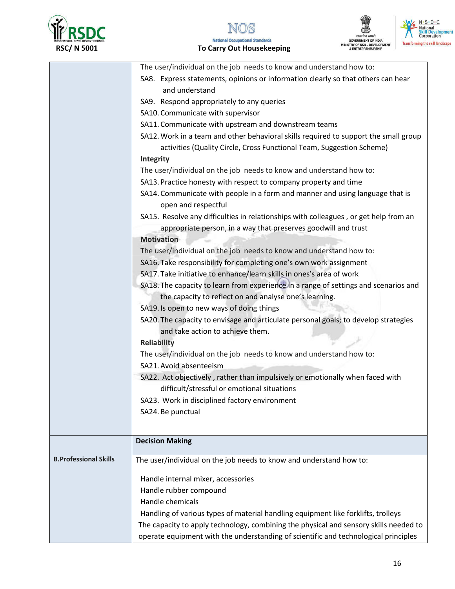







The user/individual on the job needs to know and understand how to: SA8. Express statements, opinions or information clearly so that others can hear and understand SA9. Respond appropriately to any queries SA10. Communicate with supervisor SA11. Communicate with upstream and downstream teams SA12. Work in a team and other behavioral skills required to support the small group activities (Quality Circle, Cross Functional Team, Suggestion Scheme) Integrity The user/individual on the job needs to know and understand how to: SA13. Practice honesty with respect to company property and time SA14. Communicate with people in a form and manner and using language that is open and respectful SA15. Resolve any difficulties in relationships with colleagues, or get help from an appropriate person, in a way that preserves goodwill and trust **Motivation** The user/individual on the job needs to know and understand how to: SA16. Take responsibility for completing one's own work assignment SA17. Take initiative to enhance/learn skills in ones's area of work SA18. The capacity to learn from experience in a range of settings and scenarios and the capacity to reflect on and analyse one's learning. SA19. Is open to new ways of doing things SA20. The capacity to envisage and articulate personal goals; to develop strategies and take action to achieve them. **Reliability** The user/individual on the job needs to know and understand how to: SA21. Avoid absenteeism SA22. Act objectively, rather than impulsively or emotionally when faced with difficult/stressful or emotional situations SA23. Work in disciplined factory environment SA24. Be punctual **Decision Making B.Professional Skills** The user/individual on the job needs to know and understand how to: Handle internal mixer, accessories Handle rubber compound Handle chemicals Handling of various types of material handling equipment like forklifts, trolleys The capacity to apply technology, combining the physical and sensory skills needed to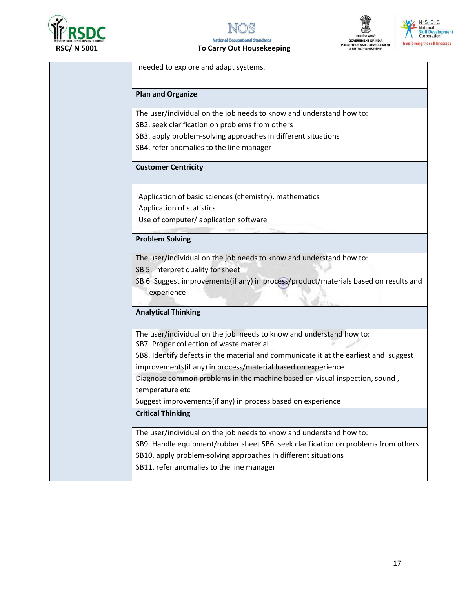





| needed to explore and adapt systems.                                                                                                                                                                           |
|----------------------------------------------------------------------------------------------------------------------------------------------------------------------------------------------------------------|
| <b>Plan and Organize</b>                                                                                                                                                                                       |
| The user/individual on the job needs to know and understand how to:                                                                                                                                            |
| SB2. seek clarification on problems from others                                                                                                                                                                |
| SB3. apply problem-solving approaches in different situations                                                                                                                                                  |
| SB4. refer anomalies to the line manager                                                                                                                                                                       |
| <b>Customer Centricity</b>                                                                                                                                                                                     |
| Application of basic sciences (chemistry), mathematics                                                                                                                                                         |
| Application of statistics                                                                                                                                                                                      |
| Use of computer/ application software                                                                                                                                                                          |
| <b>Problem Solving</b>                                                                                                                                                                                         |
| The user/individual on the job needs to know and understand how to:<br>SB 5. Interpret quality for sheet<br>SB 6. Suggest improvements(if any) in process/product/materials based on results and<br>experience |
| <b>Analytical Thinking</b>                                                                                                                                                                                     |
| The user/individual on the job needs to know and understand how to:<br>SB7. Proper collection of waste material                                                                                                |
| SB8. Identify defects in the material and communicate it at the earliest and suggest<br>improvements(if any) in process/material based on experience                                                           |
| Diagnose common problems in the machine based on visual inspection, sound,                                                                                                                                     |
| temperature etc                                                                                                                                                                                                |
| Suggest improvements (if any) in process based on experience                                                                                                                                                   |
| <b>Critical Thinking</b>                                                                                                                                                                                       |
| The user/individual on the job needs to know and understand how to:                                                                                                                                            |
| SB9. Handle equipment/rubber sheet SB6. seek clarification on problems from others                                                                                                                             |
| SB10. apply problem-solving approaches in different situations                                                                                                                                                 |
| SB11. refer anomalies to the line manager                                                                                                                                                                      |
|                                                                                                                                                                                                                |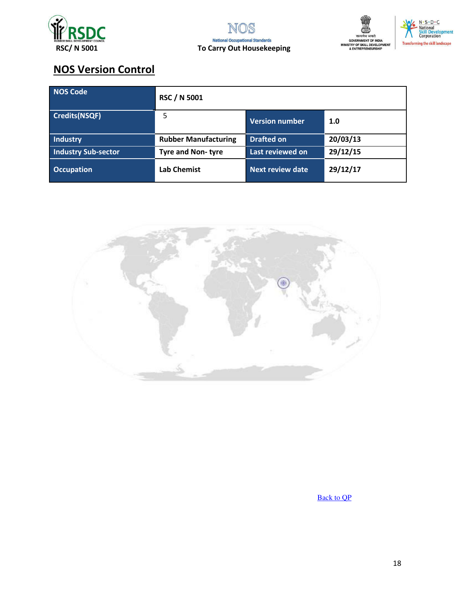





## **NOS Version Control**

| <b>NOS Code</b>            | <b>RSC / N 5001</b>         |                         |          |
|----------------------------|-----------------------------|-------------------------|----------|
| <b>Credits(NSQF)</b>       | 5                           | <b>Version number</b>   | 1.0      |
| Industry                   | <b>Rubber Manufacturing</b> | <b>Drafted on</b>       | 20/03/13 |
| <b>Industry Sub-sector</b> | <b>Tyre and Non-tyre</b>    | Last reviewed on        | 29/12/15 |
| <b>Occupation</b>          | <b>Lab Chemist</b>          | <b>Next review date</b> | 29/12/17 |



**Back to QP**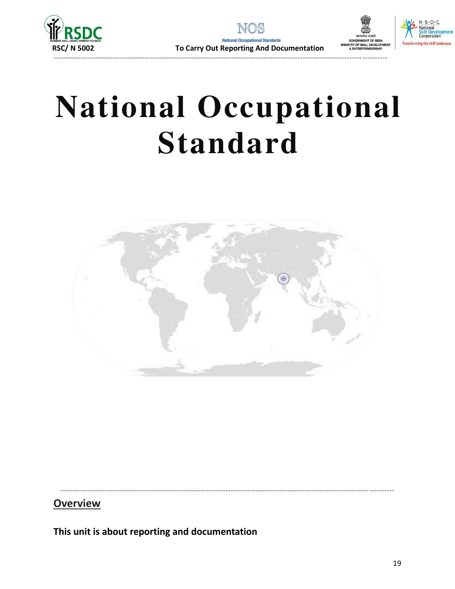







To Carry Out Reporting And Documentation

# **National Occupational Standard**



## **Overview**

This unit is about reporting and documentation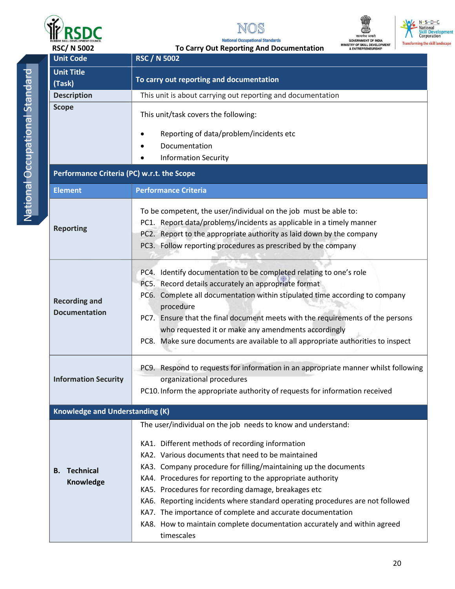



**National Occupational Standards** 



N · S · D · C<br>• National<br>Skill Development<br>Corporation **Transforming the skill landscape** 

National Occupational Standard

| <b>RSC/N 5002</b>                            | To Carry Out Reporting And Documentation                                                                                                                                                                                                                                                                                                                                                                                                                                                                                                                                                              |  |  |
|----------------------------------------------|-------------------------------------------------------------------------------------------------------------------------------------------------------------------------------------------------------------------------------------------------------------------------------------------------------------------------------------------------------------------------------------------------------------------------------------------------------------------------------------------------------------------------------------------------------------------------------------------------------|--|--|
| <b>Unit Code</b>                             | <b>RSC / N 5002</b>                                                                                                                                                                                                                                                                                                                                                                                                                                                                                                                                                                                   |  |  |
| <b>Unit Title</b>                            |                                                                                                                                                                                                                                                                                                                                                                                                                                                                                                                                                                                                       |  |  |
| (Task)                                       | To carry out reporting and documentation                                                                                                                                                                                                                                                                                                                                                                                                                                                                                                                                                              |  |  |
| <b>Description</b>                           | This unit is about carrying out reporting and documentation                                                                                                                                                                                                                                                                                                                                                                                                                                                                                                                                           |  |  |
| <b>Scope</b>                                 | This unit/task covers the following:                                                                                                                                                                                                                                                                                                                                                                                                                                                                                                                                                                  |  |  |
|                                              | Reporting of data/problem/incidents etc                                                                                                                                                                                                                                                                                                                                                                                                                                                                                                                                                               |  |  |
|                                              | Documentation                                                                                                                                                                                                                                                                                                                                                                                                                                                                                                                                                                                         |  |  |
|                                              | <b>Information Security</b>                                                                                                                                                                                                                                                                                                                                                                                                                                                                                                                                                                           |  |  |
| Performance Criteria (PC) w.r.t. the Scope   |                                                                                                                                                                                                                                                                                                                                                                                                                                                                                                                                                                                                       |  |  |
| <b>Element</b>                               | <b>Performance Criteria</b>                                                                                                                                                                                                                                                                                                                                                                                                                                                                                                                                                                           |  |  |
| <b>Reporting</b>                             | To be competent, the user/individual on the job must be able to:<br>PC1. Report data/problems/incidents as applicable in a timely manner<br>PC2. Report to the appropriate authority as laid down by the company<br>PC3. Follow reporting procedures as prescribed by the company                                                                                                                                                                                                                                                                                                                     |  |  |
| <b>Recording and</b><br><b>Documentation</b> | PC4. Identify documentation to be completed relating to one's role<br>PC5. Record details accurately an appropriate format<br>PC6. Complete all documentation within stipulated time according to company<br>procedure<br>PC7. Ensure that the final document meets with the requirements of the persons<br>who requested it or make any amendments accordingly<br>PC8. Make sure documents are available to all appropriate authorities to inspect                                                                                                                                                   |  |  |
| <b>Information Security</b>                  | PC9. Respond to requests for information in an appropriate manner whilst following<br>organizational procedures<br>PC10. Inform the appropriate authority of requests for information received                                                                                                                                                                                                                                                                                                                                                                                                        |  |  |
| Knowledge and Understanding (K)              |                                                                                                                                                                                                                                                                                                                                                                                                                                                                                                                                                                                                       |  |  |
| <b>Technical</b><br>В.<br>Knowledge          | The user/individual on the job needs to know and understand:<br>KA1. Different methods of recording information<br>KA2. Various documents that need to be maintained<br>KA3. Company procedure for filling/maintaining up the documents<br>KA4. Procedures for reporting to the appropriate authority<br>KA5. Procedures for recording damage, breakages etc<br>KA6. Reporting incidents where standard operating procedures are not followed<br>KA7. The importance of complete and accurate documentation<br>KA8. How to maintain complete documentation accurately and within agreed<br>timescales |  |  |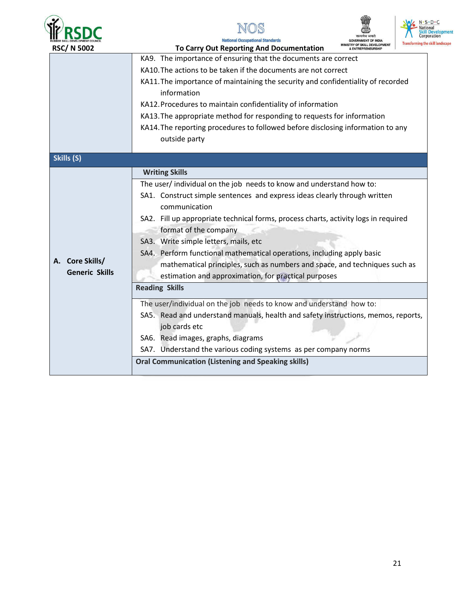







**National Occupational Standards** 

| <b>RSC/N 5002</b>     | To Carry Out Reporting And Documentation<br>י וטבונות שומונות וט<br><b>&amp; ENTREPRENEURSHIP</b> |
|-----------------------|---------------------------------------------------------------------------------------------------|
|                       | KA9. The importance of ensuring that the documents are correct                                    |
|                       | KA10. The actions to be taken if the documents are not correct                                    |
|                       | KA11. The importance of maintaining the security and confidentiality of recorded                  |
|                       | information                                                                                       |
|                       | KA12. Procedures to maintain confidentiality of information                                       |
|                       | KA13. The appropriate method for responding to requests for information                           |
|                       | KA14. The reporting procedures to followed before disclosing information to any                   |
|                       | outside party                                                                                     |
|                       |                                                                                                   |
| Skills (S)            |                                                                                                   |
|                       | <b>Writing Skills</b>                                                                             |
|                       | The user/individual on the job needs to know and understand how to:                               |
|                       | SA1. Construct simple sentences and express ideas clearly through written                         |
|                       | communication                                                                                     |
|                       | SA2. Fill up appropriate technical forms, process charts, activity logs in required               |
|                       | format of the company                                                                             |
|                       | SA3. Write simple letters, mails, etc                                                             |
|                       | SA4. Perform functional mathematical operations, including apply basic                            |
| A. Core Skills/       | mathematical principles, such as numbers and space, and techniques such as                        |
| <b>Generic Skills</b> | estimation and approximation, for practical purposes                                              |
|                       | <b>Reading Skills</b>                                                                             |
|                       | The user/individual on the job needs to know and understand how to:                               |
|                       | SA5. Read and understand manuals, health and safety instructions, memos, reports,                 |
|                       | job cards etc                                                                                     |
|                       | SA6. Read images, graphs, diagrams                                                                |
|                       | SA7. Understand the various coding systems as per company norms                                   |
|                       | <b>Oral Communication (Listening and Speaking skills)</b>                                         |
|                       |                                                                                                   |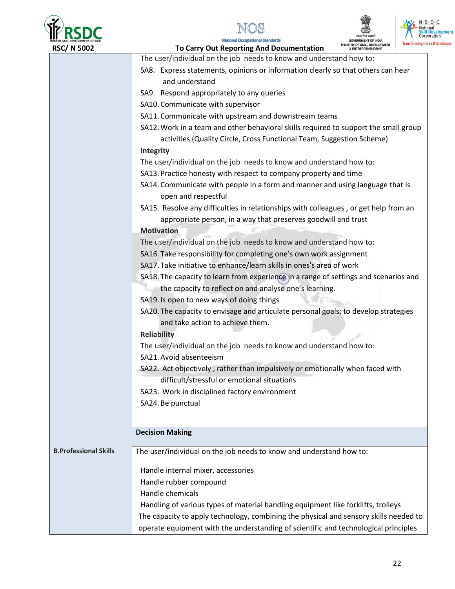| <b>RUBBER SKILL DEVELOPMENT COUNCIL</b> |
|-----------------------------------------|
| <b>RSC/N 5002</b>                       |



ards





| <b>RSC/N 5002</b>            | <b>Transforming the</b><br>MINISTRY OF SKILL DEVELOPMENT<br>To Carry Out Reporting And Documentation |
|------------------------------|------------------------------------------------------------------------------------------------------|
|                              | The user/individual on the job needs to know and understand how to:                                  |
|                              | SA8. Express statements, opinions or information clearly so that others can hear                     |
|                              | and understand                                                                                       |
|                              | SA9. Respond appropriately to any queries                                                            |
|                              | SA10. Communicate with supervisor                                                                    |
|                              | SA11. Communicate with upstream and downstream teams                                                 |
|                              | SA12. Work in a team and other behavioral skills required to support the small group                 |
|                              | activities (Quality Circle, Cross Functional Team, Suggestion Scheme)                                |
|                              | Integrity                                                                                            |
|                              | The user/individual on the job needs to know and understand how to:                                  |
|                              | SA13. Practice honesty with respect to company property and time                                     |
|                              | SA14. Communicate with people in a form and manner and using language that is                        |
|                              | open and respectful                                                                                  |
|                              | SA15. Resolve any difficulties in relationships with colleagues, or get help from an                 |
|                              | appropriate person, in a way that preserves goodwill and trust                                       |
|                              | <b>Motivation</b>                                                                                    |
|                              | The user/individual on the job needs to know and understand how to:                                  |
|                              | SA16. Take responsibility for completing one's own work assignment                                   |
|                              | SA17. Take initiative to enhance/learn skills in ones's area of work                                 |
|                              | SA18. The capacity to learn from experience in a range of settings and scenarios and                 |
|                              | the capacity to reflect on and analyse one's learning.                                               |
|                              | SA19. Is open to new ways of doing things                                                            |
|                              | SA20. The capacity to envisage and articulate personal goals; to develop strategies                  |
|                              | and take action to achieve them.                                                                     |
|                              | <b>Reliability</b>                                                                                   |
|                              | The user/individual on the job needs to know and understand how to:                                  |
|                              | SA21. Avoid absenteeism                                                                              |
|                              | SA22. Act objectively, rather than impulsively or emotionally when faced with                        |
|                              | difficult/stressful or emotional situations                                                          |
|                              | SA23. Work in disciplined factory environment                                                        |
|                              | SA24. Be punctual                                                                                    |
|                              |                                                                                                      |
|                              | <b>Decision Making</b>                                                                               |
|                              |                                                                                                      |
| <b>B.Professional Skills</b> | The user/individual on the job needs to know and understand how to:                                  |
|                              | Handle internal mixer, accessories                                                                   |
|                              |                                                                                                      |
|                              | Handle rubber compound<br>Handle chemicals                                                           |
|                              | Handling of various types of material handling equipment like forklifts, trolleys                    |
|                              | The capacity to apply technology, combining the physical and sensory skills needed to                |
|                              |                                                                                                      |
|                              | operate equipment with the understanding of scientific and technological principles                  |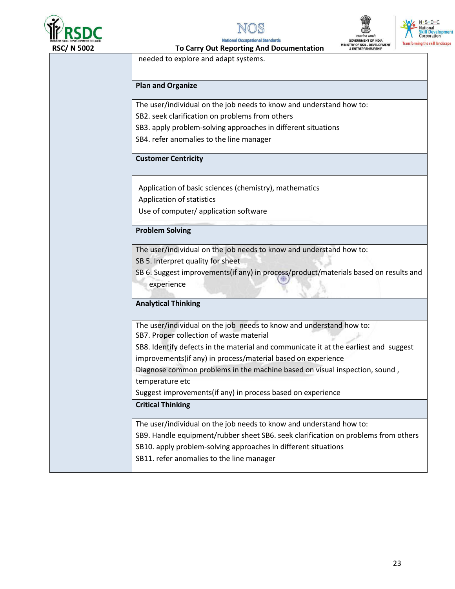







To Carry Out Reporting And Documentation

needed to explore and adapt systems.

#### **Plan and Organize**

The user/individual on the job needs to know and understand how to:

SB2. seek clarification on problems from others

SB3. apply problem-solving approaches in different situations

SB4. refer anomalies to the line manager

### **Customer Centricity**

Application of basic sciences (chemistry), mathematics Application of statistics

Use of computer/ application software

### **Problem Solving**

The user/individual on the job needs to know and understand how to:

SB 5. Interpret quality for sheet

SB 6. Suggest improvements(if any) in process/product/materials based on results and experience

### **Analytical Thinking**

The user/individual on the job needs to know and understand how to:

SB7. Proper collection of waste material

SB8. Identify defects in the material and communicate it at the earliest and suggest improvements(if any) in process/material based on experience

Diagnose common problems in the machine based on visual inspection, sound,

temperature etc

Suggest improvements(if any) in process based on experience

**Critical Thinking** 

The user/individual on the job needs to know and understand how to:

SB9. Handle equipment/rubber sheet SB6. seek clarification on problems from others

SB10. apply problem-solving approaches in different situations

SB11. refer anomalies to the line manager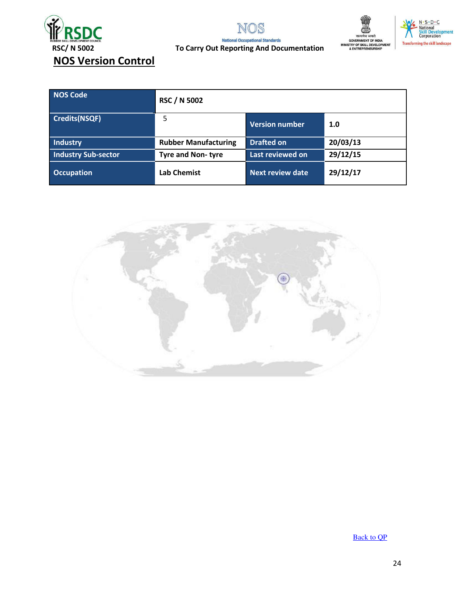







To Carry Out Reporting And Documentation

## **NOS Version Control**

| <b>NOS Code</b>            | <b>RSC / N 5002</b>         |                         |          |
|----------------------------|-----------------------------|-------------------------|----------|
| Credits(NSQF)              |                             | Version number          | 1.0      |
| <b>Industry</b>            | <b>Rubber Manufacturing</b> | <b>Drafted on</b>       | 20/03/13 |
| <b>Industry Sub-sector</b> | <b>Tyre and Non-tyre</b>    | Last reviewed on        | 29/12/15 |
| <b>Occupation</b>          | <b>Lab Chemist</b>          | <b>Next review date</b> | 29/12/17 |



**Back to QP**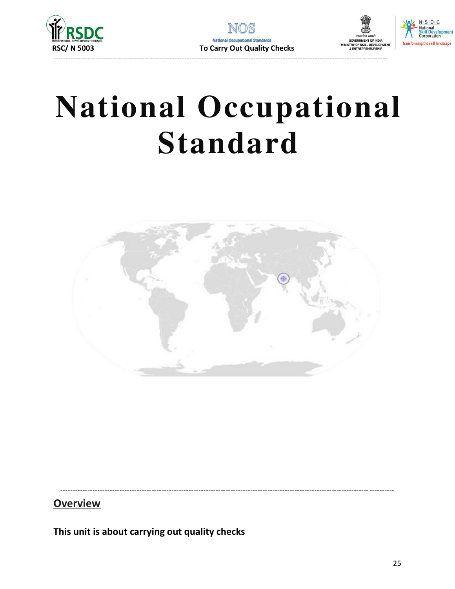







**National Occupational Standard** 



## **Overview**

This unit is about carrying out quality checks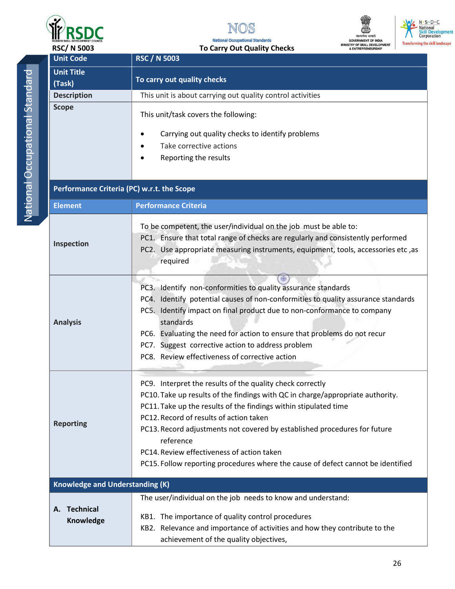



## To Carry Out Quality Checks



 $\begin{tabular}{ c c} N-S-D+C\\ National \\ Skill Development Corporation \\ \end{tabular}$ **Transforming the skill landscape** 

| ï |
|---|
|   |
|   |
|   |
|   |
|   |
|   |
|   |
|   |
|   |
|   |
|   |
|   |
|   |
|   |
|   |
| I |
|   |
|   |
|   |
|   |
|   |
|   |
|   |
|   |
| I |
|   |
| I |
|   |
|   |
|   |
| ı |
| í |
|   |
|   |
| Ï |
|   |
|   |
|   |
| I |
|   |
|   |
|   |
|   |
|   |
|   |
|   |
|   |
|   |
|   |
|   |
|   |
|   |

| <b>Unit Code</b>                           | <b>RSC / N 5003</b>                                                                                                                                                                                                                                                                                                                                                                                                                                                                    |  |  |  |
|--------------------------------------------|----------------------------------------------------------------------------------------------------------------------------------------------------------------------------------------------------------------------------------------------------------------------------------------------------------------------------------------------------------------------------------------------------------------------------------------------------------------------------------------|--|--|--|
| <b>Unit Title</b>                          | To carry out quality checks                                                                                                                                                                                                                                                                                                                                                                                                                                                            |  |  |  |
| (Task)                                     |                                                                                                                                                                                                                                                                                                                                                                                                                                                                                        |  |  |  |
| <b>Description</b>                         | This unit is about carrying out quality control activities                                                                                                                                                                                                                                                                                                                                                                                                                             |  |  |  |
| <b>Scope</b>                               | This unit/task covers the following:<br>Carrying out quality checks to identify problems<br>Take corrective actions<br>Reporting the results                                                                                                                                                                                                                                                                                                                                           |  |  |  |
| Performance Criteria (PC) w.r.t. the Scope |                                                                                                                                                                                                                                                                                                                                                                                                                                                                                        |  |  |  |
| <b>Element</b>                             | <b>Performance Criteria</b>                                                                                                                                                                                                                                                                                                                                                                                                                                                            |  |  |  |
| Inspection                                 | To be competent, the user/individual on the job must be able to:<br>PC1. Ensure that total range of checks are regularly and consistently performed<br>PC2. Use appropriate measuring instruments, equipment, tools, accessories etc, as<br>required                                                                                                                                                                                                                                   |  |  |  |
| <b>Analysis</b>                            | PC3. Identify non-conformities to quality assurance standards<br>PC4. Identify potential causes of non-conformities to quality assurance standards<br>PC5. Identify impact on final product due to non-conformance to company<br>standards<br>PC6. Evaluating the need for action to ensure that problems do not recur<br>PC7. Suggest corrective action to address problem<br>PC8. Review effectiveness of corrective action                                                          |  |  |  |
| <b>Reporting</b>                           | PC9. Interpret the results of the quality check correctly<br>PC10. Take up results of the findings with QC in charge/appropriate authority.<br>PC11. Take up the results of the findings within stipulated time<br>PC12. Record of results of action taken<br>PC13. Record adjustments not covered by established procedures for future<br>reference<br>PC14. Review effectiveness of action taken<br>PC15. Follow reporting procedures where the cause of defect cannot be identified |  |  |  |
| <b>Knowledge and Understanding (K)</b>     |                                                                                                                                                                                                                                                                                                                                                                                                                                                                                        |  |  |  |
| <b>Technical</b><br>А.<br>Knowledge        | The user/individual on the job needs to know and understand:<br>KB1. The importance of quality control procedures<br>KB2. Relevance and importance of activities and how they contribute to the<br>achievement of the quality objectives,                                                                                                                                                                                                                                              |  |  |  |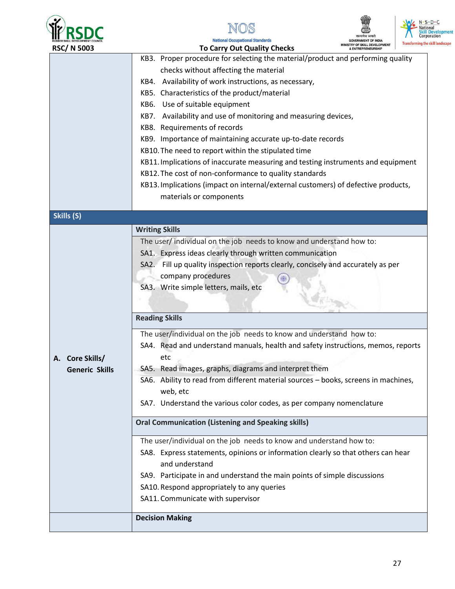



National Occupational Standards<br>Carry Out Ouality Chock



| <b>RSC/ N 5003</b>    | To Carry Out Quality Checks<br><b>&amp; ENTREPRENEURSHIP</b>                       |
|-----------------------|------------------------------------------------------------------------------------|
|                       | KB3. Proper procedure for selecting the material/product and performing quality    |
|                       | checks without affecting the material                                              |
|                       | KB4. Availability of work instructions, as necessary,                              |
|                       | KB5. Characteristics of the product/material                                       |
|                       | KB6. Use of suitable equipment                                                     |
|                       | KB7. Availability and use of monitoring and measuring devices,                     |
|                       | KB8. Requirements of records                                                       |
|                       | KB9. Importance of maintaining accurate up-to-date records                         |
|                       | KB10. The need to report within the stipulated time                                |
|                       | KB11. Implications of inaccurate measuring and testing instruments and equipment   |
|                       | KB12. The cost of non-conformance to quality standards                             |
|                       | KB13. Implications (impact on internal/external customers) of defective products,  |
|                       | materials or components                                                            |
|                       |                                                                                    |
| Skills (S)            |                                                                                    |
|                       | <b>Writing Skills</b>                                                              |
|                       | The user/ individual on the job needs to know and understand how to:               |
|                       | SA1. Express ideas clearly through written communication                           |
|                       | SA2. Fill up quality inspection reports clearly, concisely and accurately as per   |
|                       | company procedures                                                                 |
|                       | SA3. Write simple letters, mails, etc                                              |
|                       |                                                                                    |
|                       |                                                                                    |
|                       | <b>Reading Skills</b>                                                              |
|                       | The user/individual on the job needs to know and understand how to:                |
|                       | SA4. Read and understand manuals, health and safety instructions, memos, reports   |
| A. Core Skills/       | etc                                                                                |
| <b>Generic Skills</b> | SA5. Read images, graphs, diagrams and interpret them                              |
|                       | SA6. Ability to read from different material sources - books, screens in machines, |
|                       | web, etc                                                                           |
|                       | SA7. Understand the various color codes, as per company nomenclature               |
|                       | <b>Oral Communication (Listening and Speaking skills)</b>                          |
|                       | The user/individual on the job needs to know and understand how to:                |
|                       | SA8. Express statements, opinions or information clearly so that others can hear   |
|                       | and understand                                                                     |
|                       | SA9. Participate in and understand the main points of simple discussions           |
|                       | SA10. Respond appropriately to any queries                                         |
|                       | SA11. Communicate with supervisor                                                  |
|                       |                                                                                    |
|                       | <b>Decision Making</b>                                                             |
|                       |                                                                                    |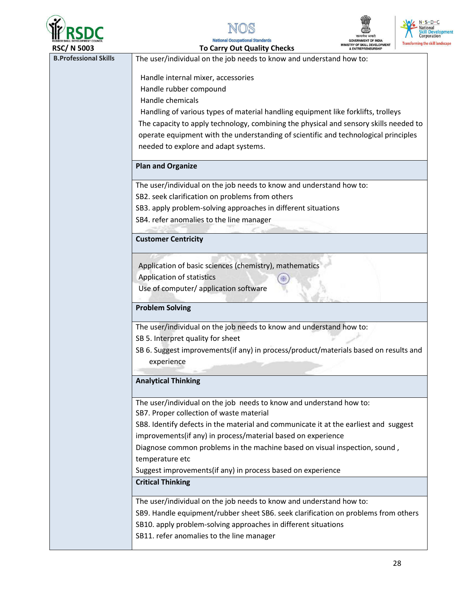



National Occupational Standards  $\overline{\phantom{a}}$ 



| RSC/ N 5003                  | <b>To Carry Out Quality Checks</b>                                                    | STRY OF SKILL DEVELOPMENT<br><b>ENTREPRENEURSHIP</b> | <b>Transforming the skil</b> |
|------------------------------|---------------------------------------------------------------------------------------|------------------------------------------------------|------------------------------|
| <b>B.Professional Skills</b> | The user/individual on the job needs to know and understand how to:                   |                                                      |                              |
|                              | Handle internal mixer, accessories                                                    |                                                      |                              |
|                              | Handle rubber compound                                                                |                                                      |                              |
|                              | Handle chemicals                                                                      |                                                      |                              |
|                              | Handling of various types of material handling equipment like forklifts, trolleys     |                                                      |                              |
|                              | The capacity to apply technology, combining the physical and sensory skills needed to |                                                      |                              |
|                              | operate equipment with the understanding of scientific and technological principles   |                                                      |                              |
|                              | needed to explore and adapt systems.                                                  |                                                      |                              |
|                              |                                                                                       |                                                      |                              |
|                              | <b>Plan and Organize</b>                                                              |                                                      |                              |
|                              | The user/individual on the job needs to know and understand how to:                   |                                                      |                              |
|                              | SB2. seek clarification on problems from others                                       |                                                      |                              |
|                              | SB3. apply problem-solving approaches in different situations                         |                                                      |                              |
|                              | SB4. refer anomalies to the line manager                                              |                                                      |                              |
|                              | <b>Customer Centricity</b>                                                            |                                                      |                              |
|                              |                                                                                       |                                                      |                              |
|                              | Application of basic sciences (chemistry), mathematics                                |                                                      |                              |
|                              | Application of statistics                                                             |                                                      |                              |
|                              | Use of computer/ application software                                                 |                                                      |                              |
|                              | <b>Problem Solving</b>                                                                |                                                      |                              |
|                              | The user/individual on the job needs to know and understand how to:                   |                                                      |                              |
|                              | SB 5. Interpret quality for sheet                                                     |                                                      |                              |
|                              | SB 6. Suggest improvements(if any) in process/product/materials based on results and  |                                                      |                              |
|                              | experience                                                                            |                                                      |                              |
|                              | <b>Analytical Thinking</b>                                                            |                                                      |                              |
|                              | The user/individual on the job needs to know and understand how to:                   |                                                      |                              |
|                              | SB7. Proper collection of waste material                                              |                                                      |                              |
|                              | SB8. Identify defects in the material and communicate it at the earliest and suggest  |                                                      |                              |
|                              | improvements(if any) in process/material based on experience                          |                                                      |                              |
|                              | Diagnose common problems in the machine based on visual inspection, sound,            |                                                      |                              |
|                              | temperature etc                                                                       |                                                      |                              |
|                              | Suggest improvements(if any) in process based on experience                           |                                                      |                              |
|                              | <b>Critical Thinking</b>                                                              |                                                      |                              |
|                              | The user/individual on the job needs to know and understand how to:                   |                                                      |                              |
|                              | SB9. Handle equipment/rubber sheet SB6. seek clarification on problems from others    |                                                      |                              |
|                              | SB10. apply problem-solving approaches in different situations                        |                                                      |                              |
|                              | SB11. refer anomalies to the line manager                                             |                                                      |                              |
|                              |                                                                                       |                                                      |                              |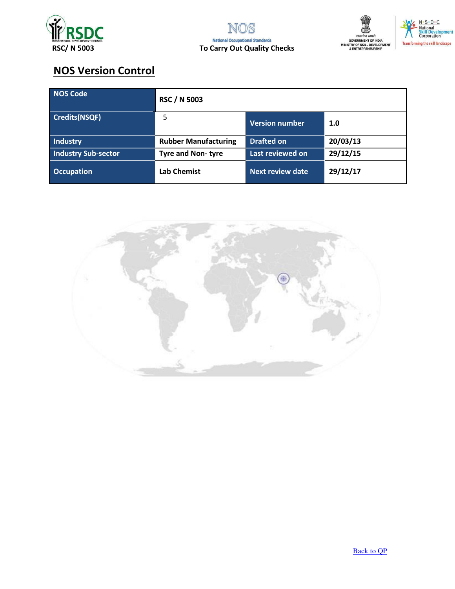





## **NOS Version Control**

| NOS Code                   | <b>RSC / N 5003</b>         |                         |          |  |  |
|----------------------------|-----------------------------|-------------------------|----------|--|--|
| Credits(NSQF)              | 5                           | <b>Version number</b>   | 1.0      |  |  |
| Industry                   | <b>Rubber Manufacturing</b> | <b>Drafted on</b>       | 20/03/13 |  |  |
| <b>Industry Sub-sector</b> | <b>Tyre and Non-tyre</b>    | Last reviewed on        | 29/12/15 |  |  |
| <b>Occupation</b>          | <b>Lab Chemist</b>          | <b>Next review date</b> | 29/12/17 |  |  |



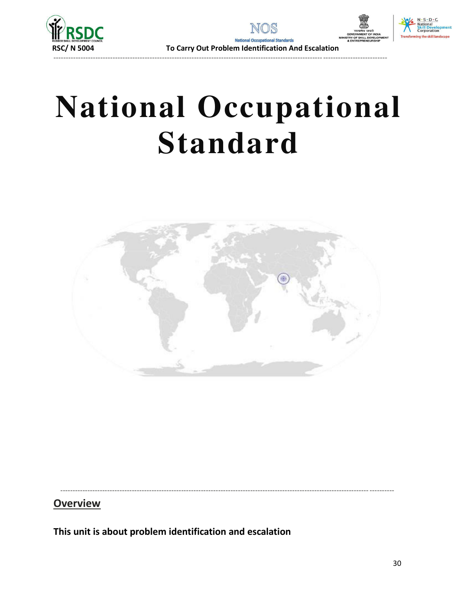





To Carry Out Problem Identification And Escalation

# **National Occupational Standard**



## **Overview**

This unit is about problem identification and escalation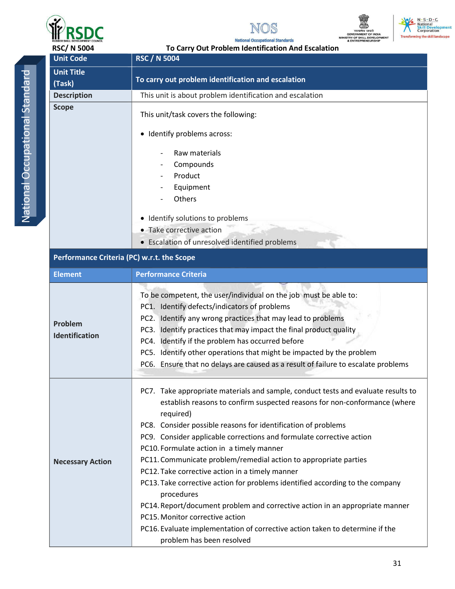







**National Occupational Standards** To Carry Out Problem Identification And Escalation

| <b>Unit Code</b>                           | <b>RSC / N 5004</b>                                                                                                                                                                                                                                                                                                                                                                                                                                                                                                                                                                                                                                                                                                                                                                                                     |
|--------------------------------------------|-------------------------------------------------------------------------------------------------------------------------------------------------------------------------------------------------------------------------------------------------------------------------------------------------------------------------------------------------------------------------------------------------------------------------------------------------------------------------------------------------------------------------------------------------------------------------------------------------------------------------------------------------------------------------------------------------------------------------------------------------------------------------------------------------------------------------|
| <b>Unit Title</b><br>(Task)                | To carry out problem identification and escalation                                                                                                                                                                                                                                                                                                                                                                                                                                                                                                                                                                                                                                                                                                                                                                      |
| <b>Description</b>                         | This unit is about problem identification and escalation                                                                                                                                                                                                                                                                                                                                                                                                                                                                                                                                                                                                                                                                                                                                                                |
| <b>Scope</b>                               | This unit/task covers the following:                                                                                                                                                                                                                                                                                                                                                                                                                                                                                                                                                                                                                                                                                                                                                                                    |
|                                            | Identify problems across:<br>$\bullet$                                                                                                                                                                                                                                                                                                                                                                                                                                                                                                                                                                                                                                                                                                                                                                                  |
|                                            | Raw materials                                                                                                                                                                                                                                                                                                                                                                                                                                                                                                                                                                                                                                                                                                                                                                                                           |
|                                            | Compounds                                                                                                                                                                                                                                                                                                                                                                                                                                                                                                                                                                                                                                                                                                                                                                                                               |
|                                            | Product                                                                                                                                                                                                                                                                                                                                                                                                                                                                                                                                                                                                                                                                                                                                                                                                                 |
|                                            | Equipment                                                                                                                                                                                                                                                                                                                                                                                                                                                                                                                                                                                                                                                                                                                                                                                                               |
|                                            | Others                                                                                                                                                                                                                                                                                                                                                                                                                                                                                                                                                                                                                                                                                                                                                                                                                  |
|                                            | Identify solutions to problems                                                                                                                                                                                                                                                                                                                                                                                                                                                                                                                                                                                                                                                                                                                                                                                          |
|                                            | • Take corrective action                                                                                                                                                                                                                                                                                                                                                                                                                                                                                                                                                                                                                                                                                                                                                                                                |
|                                            | • Escalation of unresolved identified problems                                                                                                                                                                                                                                                                                                                                                                                                                                                                                                                                                                                                                                                                                                                                                                          |
| Performance Criteria (PC) w.r.t. the Scope |                                                                                                                                                                                                                                                                                                                                                                                                                                                                                                                                                                                                                                                                                                                                                                                                                         |
| <b>Element</b>                             | <b>Performance Criteria</b>                                                                                                                                                                                                                                                                                                                                                                                                                                                                                                                                                                                                                                                                                                                                                                                             |
| Problem<br>Identification                  | To be competent, the user/individual on the job must be able to:<br>PC1. Identify defects/indicators of problems<br>PC2. Identify any wrong practices that may lead to problems<br>PC3. Identify practices that may impact the final product quality<br>PC4. Identify if the problem has occurred before<br>PC5. Identify other operations that might be impacted by the problem<br>PC6. Ensure that no delays are caused as a result of failure to escalate problems                                                                                                                                                                                                                                                                                                                                                   |
| <b>Necessary Action</b>                    | PC7. Take appropriate materials and sample, conduct tests and evaluate results to<br>establish reasons to confirm suspected reasons for non-conformance (where<br>required)<br>PC8. Consider possible reasons for identification of problems<br>PC9. Consider applicable corrections and formulate corrective action<br>PC10. Formulate action in a timely manner<br>PC11. Communicate problem/remedial action to appropriate parties<br>PC12. Take corrective action in a timely manner<br>PC13. Take corrective action for problems identified according to the company<br>procedures<br>PC14. Report/document problem and corrective action in an appropriate manner<br>PC15. Monitor corrective action<br>PC16. Evaluate implementation of corrective action taken to determine if the<br>problem has been resolved |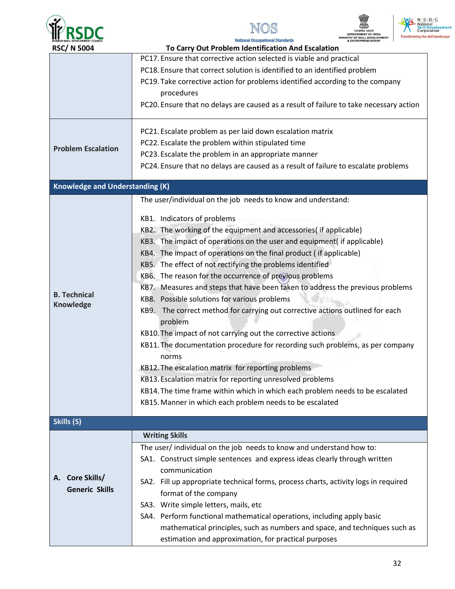







| <b>RSC/N 5004</b>                      | To Carry Out Problem Identification And Escalation                                     |
|----------------------------------------|----------------------------------------------------------------------------------------|
|                                        | PC17. Ensure that corrective action selected is viable and practical                   |
|                                        | PC18. Ensure that correct solution is identified to an identified problem              |
|                                        | PC19. Take corrective action for problems identified according to the company          |
|                                        | procedures                                                                             |
|                                        | PC20. Ensure that no delays are caused as a result of failure to take necessary action |
|                                        |                                                                                        |
|                                        | PC21. Escalate problem as per laid down escalation matrix                              |
| <b>Problem Escalation</b>              | PC22. Escalate the problem within stipulated time                                      |
|                                        | PC23. Escalate the problem in an appropriate manner                                    |
|                                        | PC24. Ensure that no delays are caused as a result of failure to escalate problems     |
| <b>Knowledge and Understanding (K)</b> |                                                                                        |
|                                        | The user/individual on the job needs to know and understand:                           |
|                                        | KB1. Indicators of problems                                                            |
|                                        | KB2. The working of the equipment and accessories( if applicable)                      |
|                                        | KB3. The impact of operations on the user and equipment( if applicable)                |
|                                        | KB4. The impact of operations on the final product (if applicable)                     |
|                                        | KB5. The effect of not rectifying the problems identified                              |
|                                        | KB6. The reason for the occurrence of previous problems                                |
|                                        | KB7. Measures and steps that have been taken to address the previous problems          |
| <b>B. Technical</b>                    | KB8. Possible solutions for various problems                                           |
| <b>Knowledge</b>                       | KB9. The correct method for carrying out corrective actions outlined for each          |
|                                        | problem                                                                                |
|                                        | KB10. The impact of not carrying out the corrective actions                            |
|                                        | KB11. The documentation procedure for recording such problems, as per company          |
|                                        | norms                                                                                  |
|                                        | KB12. The escalation matrix for reporting problems                                     |
|                                        | KB13. Escalation matrix for reporting unresolved problems                              |
|                                        | KB14. The time frame within which in which each problem needs to be escalated          |
|                                        | KB15. Manner in which each problem needs to be escalated                               |
|                                        |                                                                                        |
| Skills (S)                             |                                                                                        |
|                                        | <b>Writing Skills</b>                                                                  |
|                                        | The user/individual on the job needs to know and understand how to:                    |
|                                        | SA1. Construct simple sentences and express ideas clearly through written              |
| <b>Core Skills/</b><br>А.              | communication                                                                          |
|                                        | SA2. Fill up appropriate technical forms, process charts, activity logs in required    |
| <b>Generic Skills</b>                  | format of the company                                                                  |
|                                        | SA3. Write simple letters, mails, etc                                                  |
|                                        | SA4. Perform functional mathematical operations, including apply basic                 |
|                                        | mathematical principles, such as numbers and space, and techniques such as             |
|                                        | estimation and approximation, for practical purposes                                   |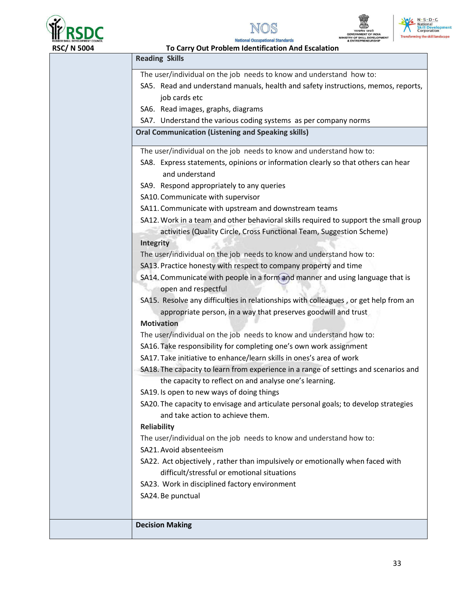



N · S · D · C<br>National<br>Skill Development<br>Corporation

Transforming the skill landscape



| <b>National Occupational Standards</b>                    |  |  |  |
|-----------------------------------------------------------|--|--|--|
| <b>To Carry Out Problem Identification And Escalation</b> |  |  |  |

| דטטכ וו וסטרו | TO Carry Out I TODICHI RECHENGATION AND ESCARGEON<br><b>Reading Skills</b>                                                                             |
|---------------|--------------------------------------------------------------------------------------------------------------------------------------------------------|
|               | The user/individual on the job needs to know and understand how to:                                                                                    |
|               | SA5. Read and understand manuals, health and safety instructions, memos, reports,                                                                      |
|               | job cards etc                                                                                                                                          |
|               | SA6. Read images, graphs, diagrams                                                                                                                     |
|               | SA7. Understand the various coding systems as per company norms                                                                                        |
|               | <b>Oral Communication (Listening and Speaking skills)</b>                                                                                              |
|               | The user/individual on the job needs to know and understand how to:                                                                                    |
|               | SA8. Express statements, opinions or information clearly so that others can hear                                                                       |
|               | and understand                                                                                                                                         |
|               | SA9. Respond appropriately to any queries                                                                                                              |
|               | SA10. Communicate with supervisor                                                                                                                      |
|               | SA11. Communicate with upstream and downstream teams                                                                                                   |
|               | SA12. Work in a team and other behavioral skills required to support the small group                                                                   |
|               | activities (Quality Circle, Cross Functional Team, Suggestion Scheme)                                                                                  |
|               | Integrity                                                                                                                                              |
|               | The user/individual on the job needs to know and understand how to:                                                                                    |
|               | SA13. Practice honesty with respect to company property and time                                                                                       |
|               | SA14. Communicate with people in a form and manner and using language that is<br>open and respectful                                                   |
|               | SA15. Resolve any difficulties in relationships with colleagues, or get help from an<br>appropriate person, in a way that preserves goodwill and trust |
|               | <b>Motivation</b>                                                                                                                                      |
|               | The user/individual on the job needs to know and understand how to:                                                                                    |
|               | SA16. Take responsibility for completing one's own work assignment                                                                                     |
|               | SA17. Take initiative to enhance/learn skills in ones's area of work                                                                                   |
|               | SA18. The capacity to learn from experience in a range of settings and scenarios and                                                                   |
|               | the capacity to reflect on and analyse one's learning.                                                                                                 |
|               | SA19. Is open to new ways of doing things                                                                                                              |
|               | SA20. The capacity to envisage and articulate personal goals; to develop strategies                                                                    |
|               | and take action to achieve them.                                                                                                                       |
|               | <b>Reliability</b>                                                                                                                                     |
|               | The user/individual on the job needs to know and understand how to:                                                                                    |
|               | SA21. Avoid absenteeism                                                                                                                                |
|               | SA22. Act objectively, rather than impulsively or emotionally when faced with                                                                          |
|               | difficult/stressful or emotional situations                                                                                                            |
|               | SA23. Work in disciplined factory environment                                                                                                          |
|               | SA24. Be punctual                                                                                                                                      |
|               |                                                                                                                                                        |
|               | <b>Decision Making</b>                                                                                                                                 |
|               |                                                                                                                                                        |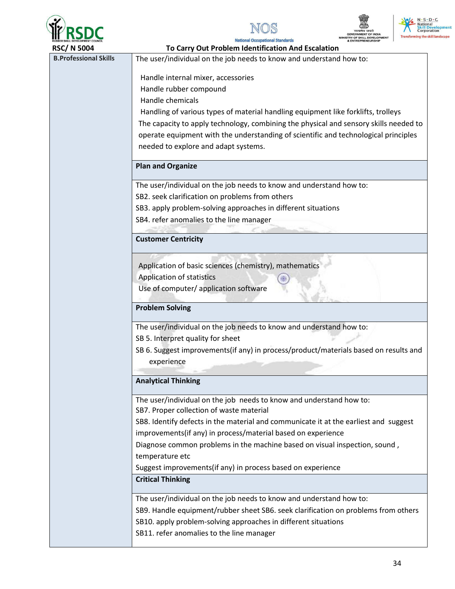







السمائد  $\mathbf{a}$ 

| RUBBER SKILL DEVELOPMENT COUNCIL<br><b>RSC/N 5004</b> | National Occupational Standards<br><b>&amp; ENTREPRENEURSHIP</b><br>To Carry Out Problem Identification And Escalation           |
|-------------------------------------------------------|----------------------------------------------------------------------------------------------------------------------------------|
| <b>B.Professional Skills</b>                          | The user/individual on the job needs to know and understand how to:                                                              |
|                                                       | Handle internal mixer, accessories                                                                                               |
|                                                       | Handle rubber compound                                                                                                           |
|                                                       | Handle chemicals                                                                                                                 |
|                                                       | Handling of various types of material handling equipment like forklifts, trolleys                                                |
|                                                       | The capacity to apply technology, combining the physical and sensory skills needed to                                            |
|                                                       | operate equipment with the understanding of scientific and technological principles                                              |
|                                                       | needed to explore and adapt systems.                                                                                             |
|                                                       | <b>Plan and Organize</b>                                                                                                         |
|                                                       | The user/individual on the job needs to know and understand how to:                                                              |
|                                                       | SB2. seek clarification on problems from others                                                                                  |
|                                                       | SB3. apply problem-solving approaches in different situations                                                                    |
|                                                       | SB4. refer anomalies to the line manager                                                                                         |
|                                                       |                                                                                                                                  |
|                                                       | <b>Customer Centricity</b>                                                                                                       |
|                                                       | Application of basic sciences (chemistry), mathematics                                                                           |
|                                                       | Application of statistics                                                                                                        |
|                                                       | Use of computer/ application software                                                                                            |
|                                                       | <b>Problem Solving</b>                                                                                                           |
|                                                       | The user/individual on the job needs to know and understand how to:                                                              |
|                                                       | SB 5. Interpret quality for sheet                                                                                                |
|                                                       | SB 6. Suggest improvements(if any) in process/product/materials based on results and                                             |
|                                                       | experience                                                                                                                       |
|                                                       |                                                                                                                                  |
|                                                       | <b>Analytical Thinking</b>                                                                                                       |
|                                                       | The user/individual on the job needs to know and understand how to:                                                              |
|                                                       | SB7. Proper collection of waste material<br>SB8. Identify defects in the material and communicate it at the earliest and suggest |
|                                                       | improvements(if any) in process/material based on experience                                                                     |
|                                                       | Diagnose common problems in the machine based on visual inspection, sound,                                                       |
|                                                       | temperature etc                                                                                                                  |
|                                                       | Suggest improvements(if any) in process based on experience                                                                      |
|                                                       | <b>Critical Thinking</b>                                                                                                         |
|                                                       | The user/individual on the job needs to know and understand how to:                                                              |
|                                                       | SB9. Handle equipment/rubber sheet SB6. seek clarification on problems from others                                               |
|                                                       | SB10. apply problem-solving approaches in different situations                                                                   |
|                                                       | SB11. refer anomalies to the line manager                                                                                        |
|                                                       |                                                                                                                                  |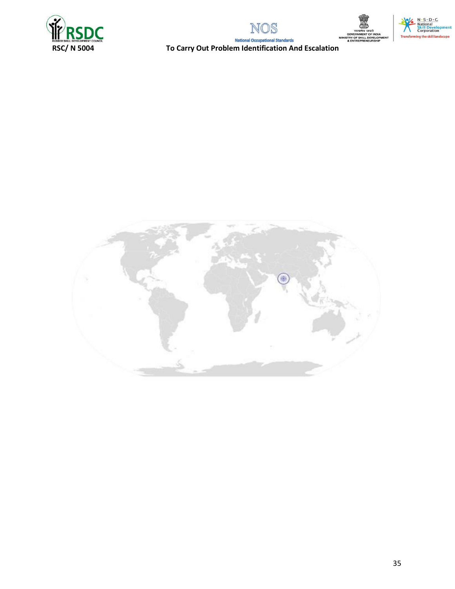







**National Occupational Standards** To Carry Out Problem Identification And Escalation

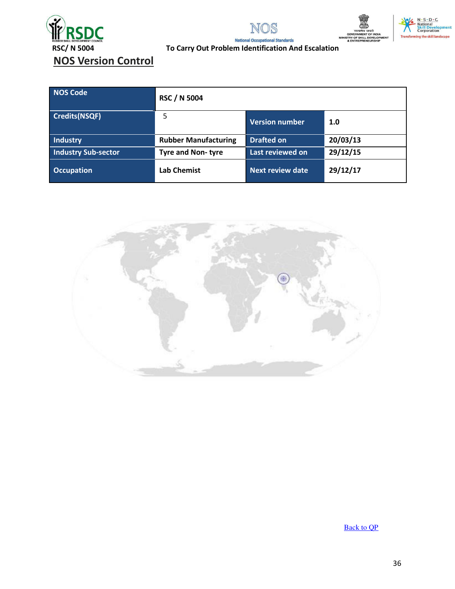







**National Occupational Standards** To Carry Out Problem Identification And Escalation

## **NOS Version Control**

| <b>NOS Code</b>            | <b>RSC / N 5004</b>         |                         |          |  |  |  |
|----------------------------|-----------------------------|-------------------------|----------|--|--|--|
| Credits(NSQF)              | 5                           | <b>Version number</b>   | 1.0      |  |  |  |
| Industry                   | <b>Rubber Manufacturing</b> | <b>Drafted on</b>       | 20/03/13 |  |  |  |
| <b>Industry Sub-sector</b> | <b>Tyre and Non-tyre</b>    | Last reviewed on        | 29/12/15 |  |  |  |
| <b>Occupation</b>          | <b>Lab Chemist</b>          | <b>Next review date</b> | 29/12/17 |  |  |  |



**Back to QP**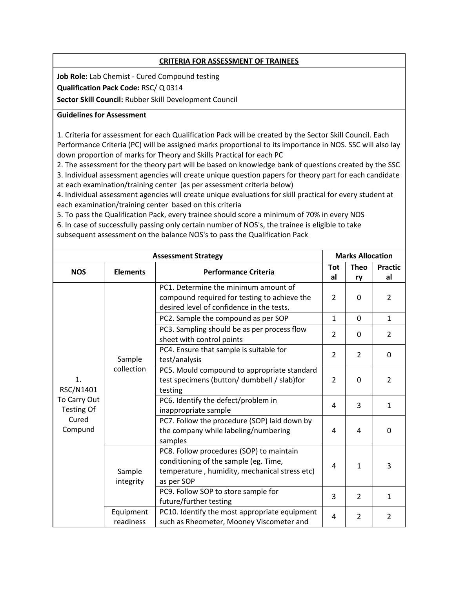## **CRITERIA FOR ASSESSMENT OF TRAINEES**

**Job Role:** Lab Chemist - Cured Compound testing

**Qualification Pack Code:** RSC/ Q 0314

**Sector Skill Council:** Rubber Skill Development Council

## **Guidelines for Assessment**

1. Criteria for assessment for each Qualification Pack will be created by the Sector Skill Council. Each Performance Criteria (PC) will be assigned marks proportional to its importance in NOS. SSC will also lay down proportion of marks for Theory and Skills Practical for each PC

2. The assessment for the theory part will be based on knowledge bank of questions created by the SSC 3. Individual assessment agencies will create unique question papers for theory part for each candidate at each examination/training center (as per assessment criteria below)

4. Individual assessment agencies will create unique evaluations for skill practical for every student at each examination/training center based on this criteria

5. To pass the Qualification Pack, every trainee should score a minimum of 70% in every NOS

6. In case of successfully passing only certain number of NOS's, the trainee is eligible to take subsequent assessment on the balance NOS's to pass the Qualification Pack

| <b>Assessment Strategy</b>        |                        | <b>Marks Allocation</b>                                                                                                                          |                |                |                |
|-----------------------------------|------------------------|--------------------------------------------------------------------------------------------------------------------------------------------------|----------------|----------------|----------------|
| <b>NOS</b>                        | <b>Elements</b>        | <b>Performance Criteria</b>                                                                                                                      | <b>Tot</b>     | <b>Theo</b>    | <b>Practic</b> |
|                                   |                        |                                                                                                                                                  | al             | ry             | al             |
|                                   |                        | PC1. Determine the minimum amount of<br>compound required for testing to achieve the<br>desired level of confidence in the tests.                | $\overline{2}$ | $\Omega$       | $\overline{2}$ |
|                                   |                        | PC2. Sample the compound as per SOP                                                                                                              | $\mathbf{1}$   | $\mathbf 0$    | $\mathbf{1}$   |
|                                   |                        | PC3. Sampling should be as per process flow<br>sheet with control points                                                                         | $\overline{2}$ | $\mathbf 0$    | $\overline{2}$ |
|                                   | Sample<br>collection   | PC4. Ensure that sample is suitable for<br>test/analysis                                                                                         | $\overline{2}$ | $\overline{2}$ | 0              |
| 1.<br>RSC/N1401                   |                        | PC5. Mould compound to appropriate standard<br>test specimens (button/dumbbell / slab)for<br>testing                                             | $\overline{2}$ | $\Omega$       | $\overline{2}$ |
| To Carry Out<br><b>Testing Of</b> |                        | PC6. Identify the defect/problem in<br>inappropriate sample                                                                                      | 4              | 3              | $\mathbf{1}$   |
| Cured<br>Compund                  |                        | PC7. Follow the procedure (SOP) laid down by<br>the company while labeling/numbering<br>samples                                                  | 4              | 4              | $\mathbf 0$    |
|                                   | Sample<br>integrity    | PC8. Follow procedures (SOP) to maintain<br>conditioning of the sample (eg. Time,<br>temperature, humidity, mechanical stress etc)<br>as per SOP | 4              | $\mathbf{1}$   | 3              |
|                                   |                        | PC9. Follow SOP to store sample for<br>future/further testing                                                                                    | 3              | $\overline{2}$ | $\mathbf{1}$   |
|                                   | Equipment<br>readiness | PC10. Identify the most appropriate equipment<br>such as Rheometer, Mooney Viscometer and                                                        | 4              | $\overline{2}$ | $\overline{2}$ |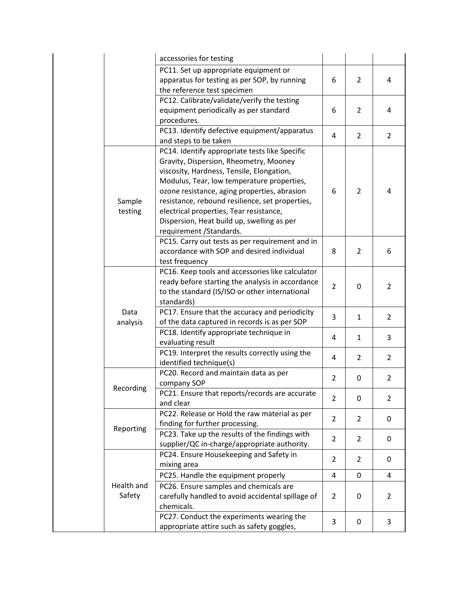|            | accessories for testing                           |                |                |                |
|------------|---------------------------------------------------|----------------|----------------|----------------|
|            | PC11. Set up appropriate equipment or             |                |                |                |
|            | apparatus for testing as per SOP, by running      | 6              | 2              | 4              |
|            | the reference test specimen                       |                |                |                |
|            | PC12. Calibrate/validate/verify the testing       |                |                |                |
|            | equipment periodically as per standard            | 6              | 2              | 4              |
|            | procedures.                                       |                |                |                |
|            | PC13. Identify defective equipment/apparatus      | 4              |                |                |
|            | and steps to be taken                             |                | $\overline{2}$ | $\overline{2}$ |
|            | PC14. Identify appropriate tests like Specific    |                |                |                |
|            | Gravity, Dispersion, Rheometry, Mooney            |                |                |                |
|            | viscosity, Hardness, Tensile, Elongation,         |                |                |                |
|            | Modulus, Tear, low temperature properties,        |                |                |                |
|            | ozone resistance, aging properties, abrasion      | 6              | 2              | 4              |
| Sample     | resistance, rebound resilience, set properties,   |                |                |                |
| testing    | electrical properties, Tear resistance,           |                |                |                |
|            | Dispersion, Heat build up, swelling as per        |                |                |                |
|            | requirement / Standards.                          |                |                |                |
|            | PC15. Carry out tests as per requirement and in   |                |                |                |
|            | accordance with SOP and desired individual        | 8<br>2         | 6              |                |
|            | test frequency                                    |                |                |                |
|            | PC16. Keep tools and accessories like calculator  |                |                |                |
|            | ready before starting the analysis in accordance  |                |                |                |
|            | to the standard (IS/ISO or other international    | 2              | $\Omega$       | $\overline{2}$ |
|            | standards)                                        |                |                |                |
| Data       | PC17. Ensure that the accuracy and periodicity    |                |                |                |
| analysis   | of the data captured in records is as per SOP     | 3              | 1              | $\overline{2}$ |
|            | PC18. Identify appropriate technique in           |                |                |                |
|            | evaluating result                                 | 4              | $\mathbf{1}$   | 3              |
|            | PC19. Interpret the results correctly using the   |                |                |                |
|            | identified technique(s)                           | 4              | 2              | $\overline{2}$ |
|            | PC20. Record and maintain data as per             |                |                |                |
|            | company SOP                                       | 2              | 0              | 2              |
| Recording  | PC21. Ensure that reports/records are accurate    |                |                |                |
|            | and clear                                         | 2              | 0              | $\overline{2}$ |
|            | PC22. Release or Hold the raw material as per     |                |                |                |
|            | finding for further processing.                   | 2              | 2              | 0              |
| Reporting  | PC23. Take up the results of the findings with    |                |                |                |
|            | supplier/QC in-charge/appropriate authority.      | $\overline{2}$ | $\overline{2}$ | 0              |
|            | PC24. Ensure Housekeeping and Safety in           |                |                |                |
|            | mixing area                                       | $\overline{2}$ | 2              | 0              |
|            | PC25. Handle the equipment properly               | 4              | 0              | 4              |
| Health and | PC26. Ensure samples and chemicals are            |                |                |                |
| Safety     | carefully handled to avoid accidental spillage of | $\overline{2}$ | 0              | $\overline{2}$ |
|            | chemicals.                                        |                |                |                |
|            | PC27. Conduct the experiments wearing the         |                |                |                |
|            | appropriate attire such as safety goggles,        | 3              | 0              | 3              |
|            |                                                   |                |                |                |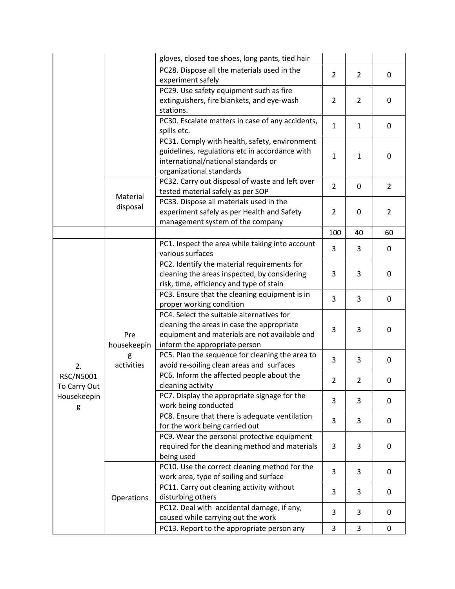|              |                                       | gloves, closed toe shoes, long pants, tied hair                                           |                |                |                |
|--------------|---------------------------------------|-------------------------------------------------------------------------------------------|----------------|----------------|----------------|
|              |                                       | PC28. Dispose all the materials used in the                                               |                |                |                |
|              |                                       | experiment safely                                                                         | $\overline{2}$ | $\overline{2}$ | 0              |
|              |                                       | PC29. Use safety equipment such as fire                                                   |                |                |                |
|              |                                       | extinguishers, fire blankets, and eye-wash                                                | $\overline{2}$ | $\overline{2}$ | $\mathbf 0$    |
|              |                                       | stations.                                                                                 |                |                |                |
|              |                                       | PC30. Escalate matters in case of any accidents,                                          | $\mathbf{1}$   | $\mathbf{1}$   | $\pmb{0}$      |
|              |                                       | spills etc.                                                                               |                |                |                |
|              |                                       | PC31. Comply with health, safety, environment                                             |                |                |                |
|              |                                       | guidelines, regulations etc in accordance with                                            | $\mathbf{1}$   | $\mathbf{1}$   | 0              |
|              |                                       | international/national standards or                                                       |                |                |                |
|              |                                       | organizational standards                                                                  |                |                |                |
|              |                                       | PC32. Carry out disposal of waste and left over                                           | $\overline{2}$ | 0              | $\overline{2}$ |
|              | Material                              | tested material safely as per SOP                                                         |                |                |                |
|              | disposal                              | PC33. Dispose all materials used in the                                                   |                |                |                |
|              |                                       | experiment safely as per Health and Safety                                                | $\overline{2}$ | 0              | $\overline{2}$ |
|              |                                       | management system of the company                                                          |                |                |                |
|              |                                       |                                                                                           | 100            | 40             | 60             |
|              |                                       | PC1. Inspect the area while taking into account                                           | 3              | 3              | 0              |
|              |                                       | various surfaces                                                                          |                |                |                |
|              |                                       | PC2. Identify the material requirements for                                               |                |                |                |
|              |                                       | cleaning the areas inspected, by considering                                              | 3              | 3              | 0              |
|              |                                       | risk, time, efficiency and type of stain<br>PC3. Ensure that the cleaning equipment is in |                |                |                |
|              |                                       | proper working condition                                                                  | 3              | 3              | 0              |
|              |                                       | PC4. Select the suitable alternatives for                                                 |                |                |                |
|              | Pre<br>housekeepin<br>g<br>activities | cleaning the areas in case the appropriate                                                |                |                |                |
|              |                                       | equipment and materials are not available and                                             | 3              | 3              | 0              |
|              |                                       | inform the appropriate person                                                             |                |                |                |
|              |                                       | PC5. Plan the sequence for cleaning the area to                                           |                |                |                |
| 2.           |                                       | avoid re-soiling clean areas and surfaces                                                 | 3              | 3              | $\mathbf 0$    |
| RSC/N5001    |                                       | PC6. Inform the affected people about the                                                 |                |                |                |
| To Carry Out |                                       | cleaning activity                                                                         | $\overline{2}$ | $\overline{2}$ | 0              |
| Housekeepin  |                                       | PC7. Display the appropriate signage for the                                              | 3              | 3              | 0              |
| g            |                                       | work being conducted                                                                      |                |                |                |
|              |                                       | PC8. Ensure that there is adequate ventilation                                            | 3              | 3              | 0              |
|              |                                       | for the work being carried out                                                            |                |                |                |
|              |                                       | PC9. Wear the personal protective equipment                                               |                |                |                |
|              |                                       | required for the cleaning method and materials                                            | 3              | 3              | 0              |
|              |                                       | being used                                                                                |                |                |                |
|              |                                       | PC10. Use the correct cleaning method for the                                             | 3              | 3              | 0              |
|              |                                       | work area, type of soiling and surface                                                    |                |                |                |
|              |                                       | PC11. Carry out cleaning activity without                                                 | 3              | 3              | 0              |
|              | Operations                            | disturbing others                                                                         |                |                |                |
|              |                                       | PC12. Deal with accidental damage, if any,                                                | 3              | 3              | 0              |
|              |                                       | caused while carrying out the work                                                        |                |                |                |
|              |                                       | PC13. Report to the appropriate person any                                                | 3              | 3              | $\mathbf 0$    |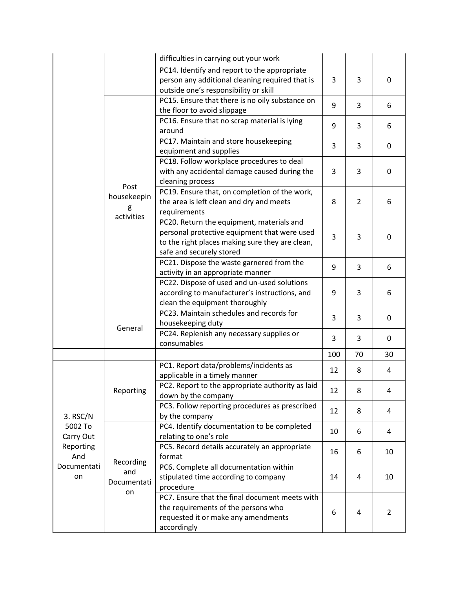|                                       |                 | difficulties in carrying out your work           |     |                |                |
|---------------------------------------|-----------------|--------------------------------------------------|-----|----------------|----------------|
|                                       |                 | PC14. Identify and report to the appropriate     |     |                |                |
|                                       |                 | person any additional cleaning required that is  | 3   | 3              | 0              |
|                                       |                 | outside one's responsibility or skill            |     |                |                |
|                                       |                 | PC15. Ensure that there is no oily substance on  |     |                |                |
|                                       |                 | the floor to avoid slippage                      | 9   | 3              | 6              |
|                                       |                 | PC16. Ensure that no scrap material is lying     |     |                |                |
|                                       |                 | around                                           | 9   | 3              | 6              |
|                                       |                 | PC17. Maintain and store housekeeping            |     |                |                |
|                                       |                 | equipment and supplies                           | 3   | 3              | 0              |
|                                       |                 | PC18. Follow workplace procedures to deal        |     |                |                |
|                                       |                 | with any accidental damage caused during the     | 3   | 3              | $\mathbf 0$    |
|                                       |                 | cleaning process                                 |     |                |                |
|                                       | Post            | PC19. Ensure that, on completion of the work,    |     |                |                |
|                                       | housekeepin     | the area is left clean and dry and meets         | 8   | $\overline{2}$ | 6              |
|                                       | g<br>activities | requirements                                     |     |                |                |
|                                       |                 | PC20. Return the equipment, materials and        |     |                |                |
|                                       |                 | personal protective equipment that were used     | 3   |                |                |
|                                       |                 | to the right places making sure they are clean,  |     | 3              | 0              |
|                                       |                 | safe and securely stored                         |     |                |                |
|                                       |                 | PC21. Dispose the waste garnered from the        | 9   | 3              | 6              |
|                                       |                 | activity in an appropriate manner                |     |                |                |
|                                       |                 | PC22. Dispose of used and un-used solutions      |     |                |                |
|                                       |                 | according to manufacturer's instructions, and    | 9   | 3              | 6              |
|                                       |                 | clean the equipment thoroughly                   |     |                |                |
|                                       |                 | PC23. Maintain schedules and records for         | 3   | 3              | 0              |
|                                       | General         | housekeeping duty                                |     |                |                |
|                                       |                 | PC24. Replenish any necessary supplies or        | 3   | 3              | 0              |
|                                       |                 | consumables                                      |     |                |                |
|                                       |                 |                                                  | 100 | 70             | 30             |
|                                       |                 | PC1. Report data/problems/incidents as           | 12  | 8              | 4              |
|                                       |                 | applicable in a timely manner                    |     |                |                |
|                                       | Reporting       | PC2. Report to the appropriate authority as laid | 12  | 8              | 4              |
|                                       |                 | down by the company                              |     |                |                |
|                                       |                 | PC3. Follow reporting procedures as prescribed   | 12  | 8              | 4              |
| 3. RSC/N                              |                 | by the company                                   |     |                |                |
| 5002 To                               |                 | PC4. Identify documentation to be completed      | 10  | 6              | 4              |
| Carry Out                             |                 | relating to one's role                           |     |                |                |
| Reporting<br>And<br>Documentati<br>on |                 | PC5. Record details accurately an appropriate    | 16  | 6              | 10             |
|                                       | Recording       | format                                           |     |                |                |
|                                       | and             | PC6. Complete all documentation within           |     |                | 10             |
|                                       | Documentati     | stipulated time according to company             | 14  | 4              |                |
|                                       | on              | procedure                                        |     |                |                |
|                                       |                 | PC7. Ensure that the final document meets with   |     |                |                |
|                                       |                 | the requirements of the persons who              | 6   | 4              | $\overline{2}$ |
|                                       |                 | requested it or make any amendments              |     |                |                |
|                                       |                 | accordingly                                      |     |                |                |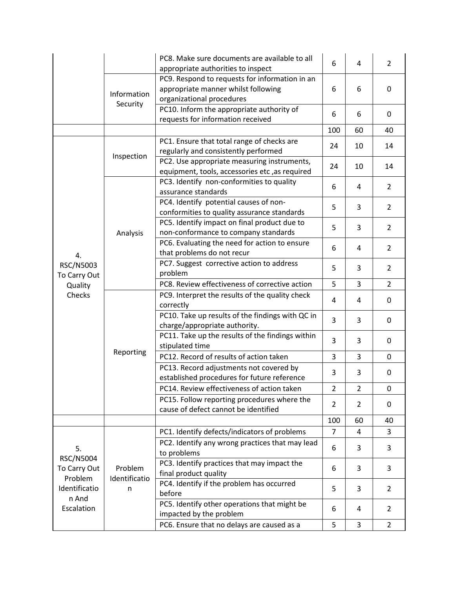|                           |                    | PC8. Make sure documents are available to all<br>appropriate authorities to inspect                                | 6              | 4              | $\overline{2}$ |
|---------------------------|--------------------|--------------------------------------------------------------------------------------------------------------------|----------------|----------------|----------------|
|                           | Information        | PC9. Respond to requests for information in an<br>appropriate manner whilst following<br>organizational procedures | 6              | 6              | 0              |
|                           | Security           | PC10. Inform the appropriate authority of<br>requests for information received                                     | 6              | 6              | 0              |
|                           |                    |                                                                                                                    | 100            | 60             | 40             |
|                           | Inspection         | PC1. Ensure that total range of checks are<br>regularly and consistently performed                                 | 24             | 10             | 14             |
|                           |                    | PC2. Use appropriate measuring instruments,<br>equipment, tools, accessories etc, as required                      | 24             | 10             | 14             |
|                           |                    | PC3. Identify non-conformities to quality<br>assurance standards                                                   | 6              | 4              | $\overline{2}$ |
|                           |                    | PC4. Identify potential causes of non-<br>conformities to quality assurance standards                              | 5              | 3              | $\overline{2}$ |
|                           | Analysis           | PC5. Identify impact on final product due to<br>non-conformance to company standards                               | 5              | 3              | $\overline{2}$ |
| 4.                        |                    | PC6. Evaluating the need for action to ensure<br>that problems do not recur                                        | 6              | 4              | $\overline{2}$ |
| RSC/N5003<br>To Carry Out |                    | PC7. Suggest corrective action to address<br>problem                                                               | 5              | 3              | $\overline{2}$ |
| Quality                   |                    | PC8. Review effectiveness of corrective action                                                                     | 5              | 3              | $\overline{2}$ |
| Checks                    | Reporting          | PC9. Interpret the results of the quality check<br>correctly                                                       | 4              | 4              | 0              |
|                           |                    | PC10. Take up results of the findings with QC in<br>charge/appropriate authority.                                  | $\overline{3}$ | 3              | 0              |
|                           |                    | PC11. Take up the results of the findings within<br>stipulated time                                                | 3              | 3              | 0              |
|                           |                    | PC12. Record of results of action taken                                                                            | 3              | 3              | 0              |
|                           |                    | PC13. Record adjustments not covered by<br>established procedures for future reference                             | 3              | 3              | 0              |
|                           |                    | PC14. Review effectiveness of action taken                                                                         | $\overline{2}$ | $\overline{2}$ | 0              |
|                           |                    | PC15. Follow reporting procedures where the<br>cause of defect cannot be identified                                | $\overline{2}$ | $\overline{2}$ | 0              |
|                           |                    |                                                                                                                    | 100            | 60             | 40             |
|                           |                    | PC1. Identify defects/indicators of problems                                                                       | 7              | 4              | 3              |
| 5.                        |                    | PC2. Identify any wrong practices that may lead<br>to problems                                                     | 6              | 3              | 3              |
| RSC/N5004<br>To Carry Out | Problem            | PC3. Identify practices that may impact the<br>final product quality                                               | 6              | 3              | 3              |
| Problem<br>Identificatio  | Identificatio<br>n | PC4. Identify if the problem has occurred<br>before                                                                | 5              | 3              | $\overline{2}$ |
| n And<br>Escalation       |                    | PC5. Identify other operations that might be<br>impacted by the problem                                            | 6              | 4              | $\overline{2}$ |
|                           |                    | PC6. Ensure that no delays are caused as a                                                                         | 5              | 3              | $\overline{2}$ |